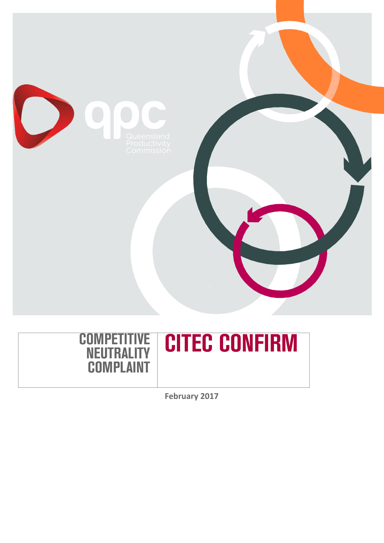





**February 2017**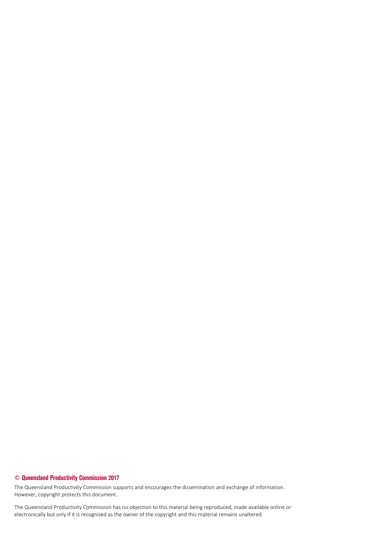#### **© Queensland Productivity Commission 2017**

The Queensland Productivity Commission supports and encourages the dissemination and exchange of information. However, copyright protects this document.

The Queensland Productivity Commission has no objection to this material being reproduced, made available online or electronically but only if it is recognised as the owner of the copyright and this material remains unaltered.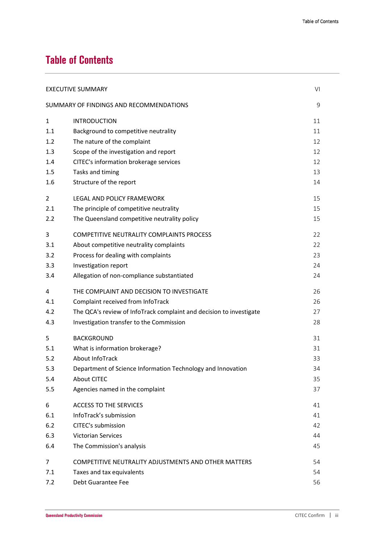# **Table of Contents**

| VI<br><b>EXECUTIVE SUMMARY</b>               |                                                                     |    |
|----------------------------------------------|---------------------------------------------------------------------|----|
| SUMMARY OF FINDINGS AND RECOMMENDATIONS<br>9 |                                                                     |    |
| $\mathbf{1}$                                 | <b>INTRODUCTION</b>                                                 | 11 |
| 1.1                                          | Background to competitive neutrality                                | 11 |
| 1.2                                          | The nature of the complaint                                         | 12 |
| 1.3                                          | Scope of the investigation and report                               | 12 |
| 1.4                                          | CITEC's information brokerage services                              | 12 |
| 1.5                                          | Tasks and timing                                                    | 13 |
| 1.6                                          | Structure of the report                                             | 14 |
| 2                                            | LEGAL AND POLICY FRAMEWORK                                          | 15 |
| 2.1                                          | The principle of competitive neutrality                             | 15 |
| 2.2                                          | The Queensland competitive neutrality policy                        | 15 |
| 3                                            | <b>COMPETITIVE NEUTRALITY COMPLAINTS PROCESS</b>                    | 22 |
| 3.1                                          | About competitive neutrality complaints                             | 22 |
| 3.2                                          | Process for dealing with complaints                                 | 23 |
| 3.3                                          | Investigation report                                                | 24 |
| 3.4                                          | Allegation of non-compliance substantiated                          | 24 |
| 4                                            | THE COMPLAINT AND DECISION TO INVESTIGATE                           | 26 |
| 4.1                                          | Complaint received from InfoTrack                                   | 26 |
| 4.2                                          | The QCA's review of InfoTrack complaint and decision to investigate | 27 |
| 4.3                                          | Investigation transfer to the Commission                            | 28 |
| 5                                            | <b>BACKGROUND</b>                                                   | 31 |
| 5.1                                          | What is information brokerage?                                      | 31 |
| 5.2                                          | <b>About InfoTrack</b>                                              | 33 |
| 5.3                                          | Department of Science Information Technology and Innovation         | 34 |
| 5.4                                          | <b>About CITEC</b>                                                  | 35 |
| 5.5                                          | Agencies named in the complaint                                     | 37 |
| 6                                            | <b>ACCESS TO THE SERVICES</b>                                       | 41 |
| 6.1                                          | InfoTrack's submission                                              | 41 |
| 6.2                                          | CITEC's submission                                                  | 42 |
| 6.3                                          | Victorian Services                                                  | 44 |
| 6.4                                          | The Commission's analysis                                           | 45 |
| 7                                            | COMPETITIVE NEUTRALITY ADJUSTMENTS AND OTHER MATTERS                | 54 |
| 7.1                                          | Taxes and tax equivalents                                           | 54 |
| 7.2                                          | Debt Guarantee Fee                                                  | 56 |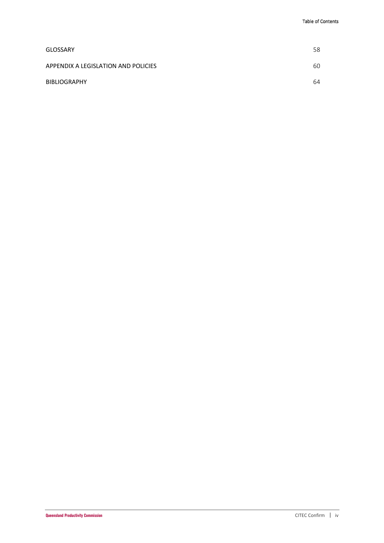| <b>GLOSSARY</b>                     | 58 |
|-------------------------------------|----|
| APPENDIX A LEGISLATION AND POLICIES | 60 |
| <b>BIBLIOGRAPHY</b>                 | 64 |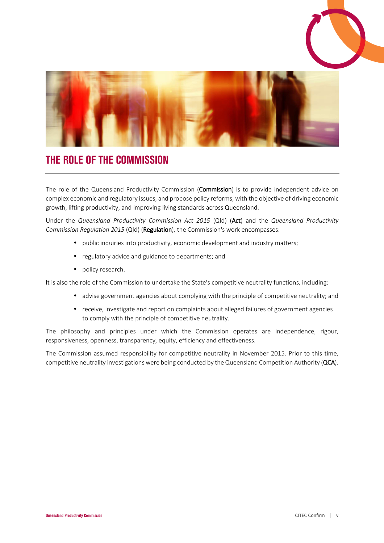



# **THE ROLE OF THE COMMISSION**

The role of the Queensland Productivity Commission (Commission) is to provide independent advice on complex economic and regulatory issues, and propose policy reforms, with the objective of driving economic growth, lifting productivity, and improving living standards across Queensland.

Under the *Queensland Productivity Commission Act 2015* (Qld) (Act) and the *Queensland Productivity Commission Regulation 2015* (Qld) (Regulation), the Commission's work encompasses:

- public inquiries into productivity, economic development and industry matters;
- regulatory advice and guidance to departments; and
- policy research.

It is also the role of the Commission to undertake the State's competitive neutrality functions, including:

- advise government agencies about complying with the principle of competitive neutrality; and
- receive, investigate and report on complaints about alleged failures of government agencies to comply with the principle of competitive neutrality.

The philosophy and principles under which the Commission operates are independence, rigour, responsiveness, openness, transparency, equity, efficiency and effectiveness.

The Commission assumed responsibility for competitive neutrality in November 2015. Prior to this time, competitive neutrality investigations were being conducted by the Queensland Competition Authority (QCA).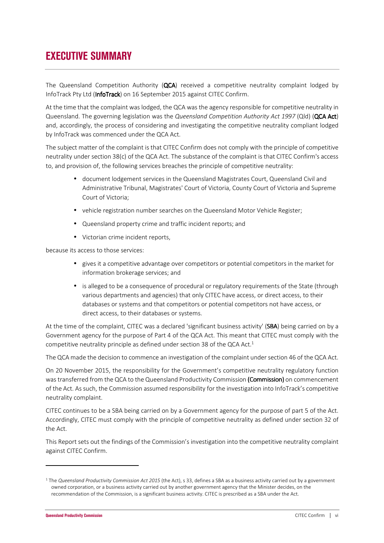# **EXECUTIVE SUMMARY**

The Queensland Competition Authority (QCA) received a competitive neutrality complaint lodged by InfoTrack Pty Ltd (InfoTrack) on 16 September 2015 against CITEC Confirm.

At the time that the complaint was lodged, the QCA was the agency responsible for competitive neutrality in Queensland. The governing legislation was the *Queensland Competition Authority Act 1997* (Qld) (**QCA Act**) and, accordingly, the process of considering and investigating the competitive neutrality compliant lodged by InfoTrack was commenced under the QCA Act.

The subject matter of the complaint is that CITEC Confirm does not comply with the principle of competitive neutrality under section 38(c) of the QCA Act. The substance of the complaint is that CITEC Confirm's access to, and provision of, the following services breaches the principle of competitive neutrality:

- document lodgement services in the Queensland Magistrates Court, Queensland Civil and Administrative Tribunal, Magistrates' Court of Victoria, County Court of Victoria and Supreme Court of Victoria;
- vehicle registration number searches on the Queensland Motor Vehicle Register;
- Queensland property crime and traffic incident reports; and
- Victorian crime incident reports,

because its access to those services:

- gives it a competitive advantage over competitors or potential competitors in the market for information brokerage services; and
- is alleged to be a consequence of procedural or regulatory requirements of the State (through various departments and agencies) that only CITEC have access, or direct access, to their databases or systems and that competitors or potential competitors not have access, or direct access, to their databases or systems.

At the time of the complaint, CITEC was a declared 'significant business activity' (SBA) being carried on by a Government agency for the purpose of Part 4 of the QCA Act. This meant that CITEC must comply with the competitive neutrality principle as defined under section 38 of the QCA Act.<sup>1</sup>

The QCA made the decision to commence an investigation of the complaint under section 46 of the QCA Act.

On 20 November 2015, the responsibility for the Government's competitive neutrality regulatory function was transferred from the QCA to the Queensland Productivity Commission (Commission) on commencement of the Act. As such, the Commission assumed responsibility for the investigation into InfoTrack's competitive neutrality complaint.

CITEC continues to be a SBA being carried on by a Government agency for the purpose of part 5 of the Act. Accordingly, CITEC must comply with the principle of competitive neutrality as defined under section 32 of the Act.

This Report sets out the findings of the Commission's investigation into the competitive neutrality complaint against CITEC Confirm.

<sup>&</sup>lt;sup>1</sup> The *Queensland Productivity Commission Act 2015* (the Act), s 33, defines a SBA as a business activity carried out by a government owned corporation, or a business activity carried out by another government agency that the Minister decides, on the recommendation of the Commission, is a significant business activity. CITEC is prescribed as a SBA under the Act.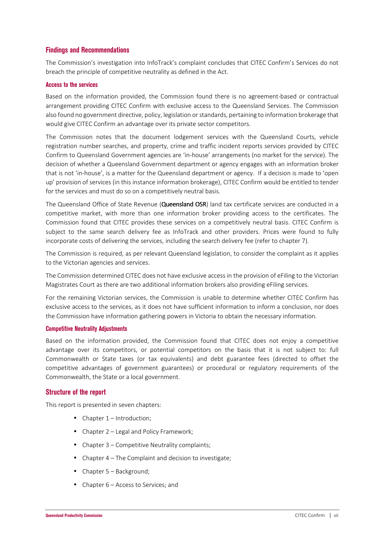#### **Findings and Recommendations**

The Commission's investigation into InfoTrack's complaint concludes that CITEC Confirm's Services do not breach the principle of competitive neutrality as defined in the Act.

#### **Access to the services**

Based on the information provided, the Commission found there is no agreement-based or contractual arrangement providing CITEC Confirm with exclusive access to the Queensland Services. The Commission also found no government directive, policy, legislation or standards, pertaining to information brokerage that would give CITEC Confirm an advantage over its private sector competitors.

The Commission notes that the document lodgement services with the Queensland Courts, vehicle registration number searches, and property, crime and traffic incident reports services provided by CITEC Confirm to Queensland Government agencies are 'in-house' arrangements (no market for the service). The decision of whether a Queensland Government department or agency engages with an information broker that is not 'in-house', is a matter for the Queensland department or agency. If a decision is made to 'open up' provision of services (in this instance information brokerage), CITEC Confirm would be entitled to tender for the services and must do so on a competitively neutral basis.

The Queensland Office of State Revenue (Queensland OSR) land tax certificate services are conducted in a competitive market, with more than one information broker providing access to the certificates. The Commission found that CITEC provides these services on a competitively neutral basis. CITEC Confirm is subject to the same search delivery fee as InfoTrack and other providers. Prices were found to fully incorporate costs of delivering the services, including the search delivery fee (refer to chapter 7).

The Commission is required, as per relevant Queensland legislation, to consider the complaint as it applies to the Victorian agencies and services.

The Commission determined CITEC does not have exclusive access in the provision of eFiling to the Victorian Magistrates Court as there are two additional information brokers also providing eFiling services.

For the remaining Victorian services, the Commission is unable to determine whether CITEC Confirm has exclusive access to the services, as it does not have sufficient information to inform a conclusion, nor does the Commission have information gathering powers in Victoria to obtain the necessary information.

#### **Competitive Neutrality Adjustments**

Based on the information provided, the Commission found that CITEC does not enjoy a competitive advantage over its competitors, or potential competitors on the basis that it is not subject to: full Commonwealth or State taxes (or tax equivalents) and debt guarantee fees (directed to offset the competitive advantages of government guarantees) or procedural or regulatory requirements of the Commonwealth, the State or a local government.

#### **Structure of the report**

This report is presented in seven chapters:

- Chapter 1 Introduction;
- Chapter 2 Legal and Policy Framework;
- Chapter 3 Competitive Neutrality complaints;
- Chapter 4 The Complaint and decision to investigate;
- Chapter 5 Background;
- Chapter 6 Access to Services: and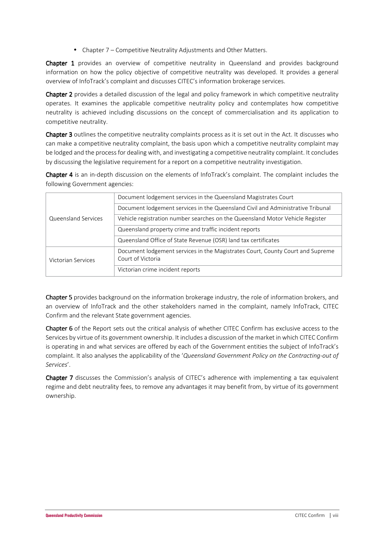• Chapter 7 – Competitive Neutrality Adjustments and Other Matters.

**Chapter 1** provides an overview of competitive neutrality in Queensland and provides background information on how the policy objective of competitive neutrality was developed. It provides a general overview of InfoTrack's complaint and discusses CITEC's information brokerage services.

Chapter 2 provides a detailed discussion of the legal and policy framework in which competitive neutrality operates. It examines the applicable competitive neutrality policy and contemplates how competitive neutrality is achieved including discussions on the concept of commercialisation and its application to competitive neutrality.

Chapter 3 outlines the competitive neutrality complaints process as it is set out in the Act. It discusses who can make a competitive neutrality complaint, the basis upon which a competitive neutrality complaint may be lodged and the process for dealing with, and investigating a competitive neutrality complaint. It concludes by discussing the legislative requirement for a report on a competitive neutrality investigation.

Chapter 4 is an in-depth discussion on the elements of InfoTrack's complaint. The complaint includes the following Government agencies:

|                     | Document lodgement services in the Queensland Magistrates Court                 |  |
|---------------------|---------------------------------------------------------------------------------|--|
|                     | Document lodgement services in the Queensland Civil and Administrative Tribunal |  |
| Queensland Services | Vehicle registration number searches on the Queensland Motor Vehicle Register   |  |
|                     | Queensland property crime and traffic incident reports                          |  |
|                     | Queensland Office of State Revenue (OSR) land tax certificates                  |  |
|                     | Document lodgement services in the Magistrates Court, County Court and Supreme  |  |
| Victorian Services  | Court of Victoria                                                               |  |
|                     | Victorian crime incident reports                                                |  |

Chapter 5 provides background on the information brokerage industry, the role of information brokers, and an overview of InfoTrack and the other stakeholders named in the complaint, namely InfoTrack, CITEC Confirm and the relevant State government agencies.

Chapter 6 of the Report sets out the critical analysis of whether CITEC Confirm has exclusive access to the Services by virtue of its government ownership. It includes a discussion of the market in which CITEC Confirm is operating in and what services are offered by each of the Government entities the subject of InfoTrack's complaint. It also analyses the applicability of the '*Queensland Government Policy on the Contracting-out of Services*'.

Chapter 7 discusses the Commission's analysis of CITEC's adherence with implementing a tax equivalent regime and debt neutrality fees, to remove any advantages it may benefit from, by virtue of its government ownership.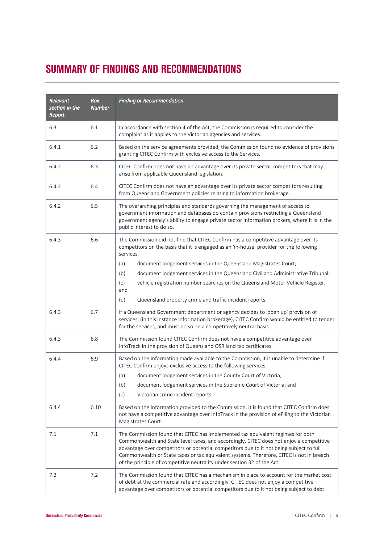# **SUMMARY OF FINDINGS AND RECOMMENDATIONS**

| Relevant<br>section in the<br>Report | <b>Box</b><br><b>Number</b> | <b>Finding or Recommendation</b>                                                                                                                                                                                                                                                                                                                                                                                                             |
|--------------------------------------|-----------------------------|----------------------------------------------------------------------------------------------------------------------------------------------------------------------------------------------------------------------------------------------------------------------------------------------------------------------------------------------------------------------------------------------------------------------------------------------|
| 6.3                                  | 6.1                         | In accordance with section 4 of the Act, the Commission is required to consider the<br>complaint as it applies to the Victorian agencies and services.                                                                                                                                                                                                                                                                                       |
| 6.4.1                                | 6.2                         | Based on the service agreements provided, the Commission found no evidence of provisions<br>granting CITEC Confirm with exclusive access to the Services.                                                                                                                                                                                                                                                                                    |
| 6.4.2                                | 6.3                         | CITEC Confirm does not have an advantage over its private sector competitors that may<br>arise from applicable Queensland legislation.                                                                                                                                                                                                                                                                                                       |
| 6.4.2                                | 6.4                         | CITEC Confirm does not have an advantage over its private sector competitors resulting<br>from Queensland Government policies relating to information brokerage.                                                                                                                                                                                                                                                                             |
| 6.4.2                                | 6.5                         | The overarching principles and standards governing the management of access to<br>government information and databases do contain provisions restricting a Queensland<br>government agency's ability to engage private sector information brokers, where it is in the<br>public interest to do so.                                                                                                                                           |
| 6.4.3                                | 6.6                         | The Commission did not find that CITEC Confirm has a competitive advantage over its<br>competitors on the basis that it is engaged as an 'in-house' provider for the following<br>services.                                                                                                                                                                                                                                                  |
|                                      |                             | document lodgement services in the Queensland Magistrates Court;<br>(a)                                                                                                                                                                                                                                                                                                                                                                      |
|                                      |                             | document lodgement services in the Queensland Civil and Administrative Tribunal;<br>(b)                                                                                                                                                                                                                                                                                                                                                      |
|                                      |                             | vehicle registration number searches on the Queensland Motor Vehicle Register;<br>(c)<br>and                                                                                                                                                                                                                                                                                                                                                 |
|                                      |                             | (d)<br>Queensland property crime and traffic incident reports.                                                                                                                                                                                                                                                                                                                                                                               |
| 6.4.3                                | 6.7                         | If a Queensland Government department or agency decides to 'open up' provision of<br>services, (in this instance information brokerage), CITEC Confirm would be entitled to tender<br>for the services, and must do so on a competitively neutral basis.                                                                                                                                                                                     |
| 6.4.3                                | 6.8                         | The Commission found CITEC Confirm does not have a competitive advantage over<br>InfoTrack in the provision of Queensland OSR land tax certificates.                                                                                                                                                                                                                                                                                         |
| 6.4.4                                | 6.9                         | Based on the information made available to the Commission, it is unable to determine if<br>CITEC Confirm enjoys exclusive access to the following services:                                                                                                                                                                                                                                                                                  |
|                                      |                             | (a)<br>document lodgement services in the County Court of Victoria;                                                                                                                                                                                                                                                                                                                                                                          |
|                                      |                             | (b)<br>document lodgement services in the Supreme Court of Victoria; and                                                                                                                                                                                                                                                                                                                                                                     |
|                                      |                             | Victorian crime incident reports.<br>(c)                                                                                                                                                                                                                                                                                                                                                                                                     |
| 6.4.4                                | 6.10                        | Based on the information provided to the Commission, it is found that CITEC Confirm does<br>not have a competitive advantage over InfoTrack in the provision of eFiling to the Victorian<br>Magistrates Court.                                                                                                                                                                                                                               |
| 7.1                                  | 7.1                         | The Commission found that CITEC has implemented tax equivalent regimes for both<br>Commonwealth and State level taxes, and accordingly, CITEC does not enjoy a competitive<br>advantage over competitors or potential competitors due to it not being subject to full<br>Commonwealth or State taxes or tax equivalent systems. Therefore, CITEC is not in breach<br>of the principle of competitive neutrality under section 32 of the Act. |
| 7.2                                  | 7.2                         | The Commission found that CITEC has a mechanism in place to account for the market cost<br>of debt at the commercial rate and accordingly, CITEC does not enjoy a competitive<br>advantage over competitors or potential competitors due to it not being subject to debt                                                                                                                                                                     |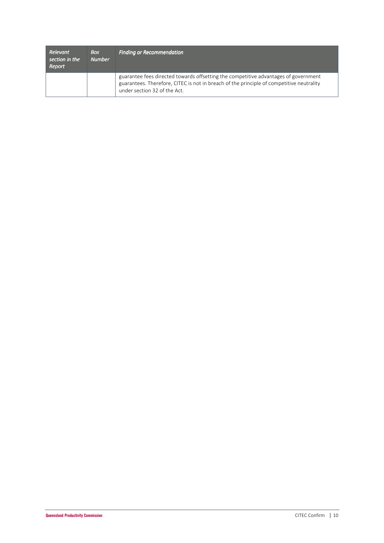| Relevant<br>section in the<br>Report | <b>Box</b><br><b>Number</b> | <b>Finding or Recommendation</b>                                                                                                                                                                                |
|--------------------------------------|-----------------------------|-----------------------------------------------------------------------------------------------------------------------------------------------------------------------------------------------------------------|
|                                      |                             | guarantee fees directed towards offsetting the competitive advantages of government<br>guarantees. Therefore, CITEC is not in breach of the principle of competitive neutrality<br>under section 32 of the Act. |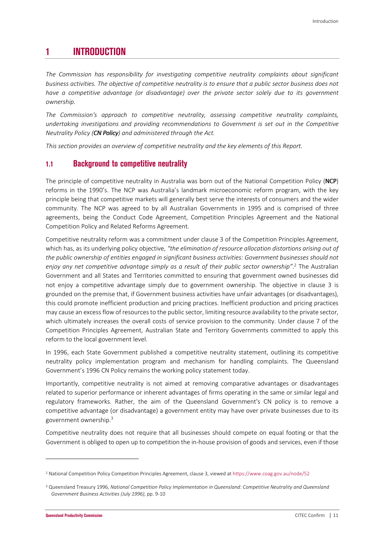## **1 INTRODUCTION**

*The Commission has responsibility for investigating competitive neutrality complaints about significant business activities. The objective of competitive neutrality is to ensure that a public sector business does not have a competitive advantage (or disadvantage) over the private sector solely due to its government ownership.* 

*The Commission's approach to competitive neutrality, assessing competitive neutrality complaints, undertaking investigations and providing recommendations to Government is set out in the Competitive Neutrality Policy (CN Policy) and administered through the Act.* 

*This section provides an overview of competitive neutrality and the key elements of this Report.* 

### **1.1 Background to competitive neutrality**

The principle of competitive neutrality in Australia was born out of the National Competition Policy (NCP) reforms in the 1990's. The NCP was Australia's landmark microeconomic reform program, with the key principle being that competitive markets will generally best serve the interests of consumers and the wider community. The NCP was agreed to by all Australian Governments in 1995 and is comprised of three agreements, being the Conduct Code Agreement, Competition Principles Agreement and the National Competition Policy and Related Reforms Agreement.

Competitive neutrality reform was a commitment under clause 3 of the Competition Principles Agreement, which has, as its underlying policy objective, *"the elimination of resource allocation distortions arising out of the public ownership of entities engaged in significant business activities: Government businesses should not enjoy any net competitive advantage simply as a result of their public sector ownership"*. 2 The Australian Government and all States and Territories committed to ensuring that government owned businesses did not enjoy a competitive advantage simply due to government ownership. The objective in clause 3 is grounded on the premise that, if Government business activities have unfair advantages (or disadvantages), this could promote inefficient production and pricing practices. Inefficient production and pricing practices may cause an excess flow of resources to the public sector, limiting resource availability to the private sector, which ultimately increases the overall costs of service provision to the community. Under clause 7 of the Competition Principles Agreement, Australian State and Territory Governments committed to apply this reform to the local government level.

In 1996, each State Government published a competitive neutrality statement, outlining its competitive neutrality policy implementation program and mechanism for handling complaints. The Queensland Government's 1996 CN Policy remains the working policy statement today.

Importantly, competitive neutrality is not aimed at removing comparative advantages or disadvantages related to superior performance or inherent advantages of firms operating in the same or similar legal and regulatory frameworks. Rather, the aim of the Queensland Government's CN policy is to remove a competitive advantage (or disadvantage) a government entity may have over private businesses due to its government ownership.<sup>3</sup>

Competitive neutrality does not require that all businesses should compete on equal footing or that the Government is obliged to open up to competition the in-house provision of goods and services, even if those

<sup>2</sup> National Competition Policy Competition Principles Agreement, clause 3, viewed at https://www.coag.gov.au/node/52

<sup>&</sup>lt;sup>3</sup> Queensland Treasury 1996, National Competition Policy Implementation in Queensland: Competitive Neutrality and Queensland *Government Business Activities (July 1996)*, pp. 9-10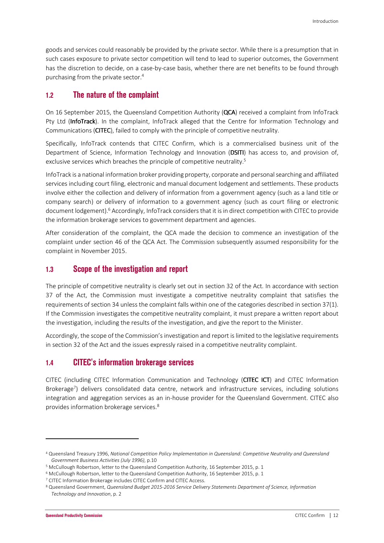goods and services could reasonably be provided by the private sector. While there is a presumption that in such cases exposure to private sector competition will tend to lead to superior outcomes, the Government has the discretion to decide, on a case-by-case basis, whether there are net benefits to be found through purchasing from the private sector.<sup>4</sup>

## **1.2 The nature of the complaint**

On 16 September 2015, the Queensland Competition Authority (QCA) received a complaint from InfoTrack Pty Ltd (InfoTrack). In the complaint, InfoTrack alleged that the Centre for Information Technology and Communications (CITEC), failed to comply with the principle of competitive neutrality.

Specifically, InfoTrack contends that CITEC Confirm, which is a commercialised business unit of the Department of Science, Information Technology and Innovation (DSITI) has access to, and provision of, exclusive services which breaches the principle of competitive neutrality.<sup>5</sup>

InfoTrack is a national information broker providing property, corporate and personal searching and affiliated services including court filing, electronic and manual document lodgement and settlements. These products involve either the collection and delivery of information from a government agency (such as a land title or company search) or delivery of information to a government agency (such as court filing or electronic document lodgement).<sup>6</sup> Accordingly, InfoTrack considers that it is in direct competition with CITEC to provide the information brokerage services to government department and agencies.

After consideration of the complaint, the QCA made the decision to commence an investigation of the complaint under section 46 of the QCA Act. The Commission subsequently assumed responsibility for the complaint in November 2015.

### **1.3 Scope of the investigation and report**

The principle of competitive neutrality is clearly set out in section 32 of the Act. In accordance with section 37 of the Act, the Commission must investigate a competitive neutrality complaint that satisfies the requirements of section 34 unless the complaint falls within one of the categories described in section 37(1). If the Commission investigates the competitive neutrality complaint, it must prepare a written report about the investigation, including the results of the investigation, and give the report to the Minister.

Accordingly, the scope of the Commission's investigation and report is limited to the legislative requirements in section 32 of the Act and the issues expressly raised in a competitive neutrality complaint.

## **1.4 CITEC's information brokerage services**

CITEC (including CITEC Information Communication and Technology (CITEC ICT) and CITEC Information Brokerage<sup>7</sup>) delivers consolidated data centre, network and infrastructure services, including solutions integration and aggregation services as an in-house provider for the Queensland Government. CITEC also provides information brokerage services.<sup>8</sup>

 $\overline{\phantom{0}}$ 

<sup>4</sup> Queensland Treasury 1996, *National Competition Policy Implementation in Queensland: Competitive Neutrality and Queensland Government Business Activities (July 1996)*, p.10

<sup>&</sup>lt;sup>5</sup> McCullough Robertson, letter to the Queensland Competition Authority, 16 September 2015, p. 1

<sup>6</sup> McCullough Robertson, letter to the Queensland Competition Authority, 16 September 2015, p. 1

<sup>&</sup>lt;sup>7</sup> CITEC Information Brokerage includes CITEC Confirm and CITEC Access.

<sup>&</sup>lt;sup>8</sup> Queensland Government, *Queensland Budget 2015-2016 Service Delivery Statements Department of Science, Information Technology and Innovation*, p. 2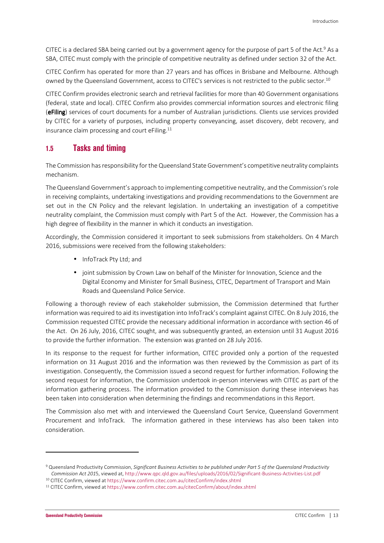CITEC is a declared SBA being carried out by a government agency for the purpose of part 5 of the Act.<sup>9</sup> As a SBA, CITEC must comply with the principle of competitive neutrality as defined under section 32 of the Act.

CITEC Confirm has operated for more than 27 years and has offices in Brisbane and Melbourne. Although owned by the Queensland Government, access to CITEC's services is not restricted to the public sector.<sup>10</sup>

CITEC Confirm provides electronic search and retrieval facilities for more than 40 Government organisations (federal, state and local). CITEC Confirm also provides commercial information sources and electronic filing (eFiling) services of court documents for a number of Australian jurisdictions. Clients use services provided by CITEC for a variety of purposes, including property conveyancing, asset discovery, debt recovery, and insurance claim processing and court eFiling.<sup>11</sup>

## **1.5 Tasks and timing**

The Commission has responsibility for the Queensland State Government's competitive neutrality complaints mechanism.

The Queensland Government's approach to implementing competitive neutrality, and the Commission's role in receiving complaints, undertaking investigations and providing recommendations to the Government are set out in the CN Policy and the relevant legislation. In undertaking an investigation of a competitive neutrality complaint, the Commission must comply with Part 5 of the Act. However, the Commission has a high degree of flexibility in the manner in which it conducts an investigation.

Accordingly, the Commission considered it important to seek submissions from stakeholders. On 4 March 2016, submissions were received from the following stakeholders:

- InfoTrack Pty Ltd; and
- joint submission by Crown Law on behalf of the Minister for Innovation, Science and the Digital Economy and Minister for Small Business, CITEC, Department of Transport and Main Roads and Queensland Police Service.

Following a thorough review of each stakeholder submission, the Commission determined that further information was required to aid its investigation into InfoTrack's complaint against CITEC. On 8 July 2016, the Commission requested CITEC provide the necessary additional information in accordance with section 46 of the Act. On 26 July, 2016, CITEC sought, and was subsequently granted, an extension until 31 August 2016 to provide the further information. The extension was granted on 28 July 2016.

In its response to the request for further information, CITEC provided only a portion of the requested information on 31 August 2016 and the information was then reviewed by the Commission as part of its investigation. Consequently, the Commission issued a second request for further information. Following the second request for information, the Commission undertook in-person interviews with CITEC as part of the information gathering process. The information provided to the Commission during these interviews has been taken into consideration when determining the findings and recommendations in this Report.

The Commission also met with and interviewed the Queensland Court Service, Queensland Government Procurement and InfoTrack. The information gathered in these interviews has also been taken into consideration.

<sup>9</sup> Queensland Productivity Commission, *Significant Business Activities to be published under Part 5 of the Queensland Productivity Commission Act 201*5, viewed at, http://www.qpc.qld.gov.au/files/uploads/2016/02/Significant-Business-Activities-List.pdf

<sup>10</sup> CITEC Confirm, viewed at https://www.confirm.citec.com.au/citecConfirm/index.shtml

<sup>11</sup> CITEC Confirm, viewed at https://www.confirm.citec.com.au/citecConfirm/about/index.shtml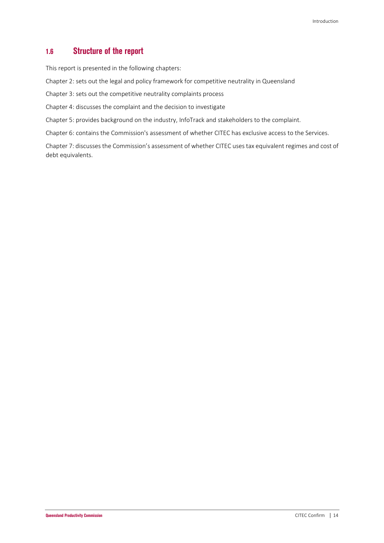## **1.6 Structure of the report**

This report is presented in the following chapters:

Chapter 2: sets out the legal and policy framework for competitive neutrality in Queensland

Chapter 3: sets out the competitive neutrality complaints process

Chapter 4: discusses the complaint and the decision to investigate

Chapter 5: provides background on the industry, InfoTrack and stakeholders to the complaint.

Chapter 6: contains the Commission's assessment of whether CITEC has exclusive access to the Services.

Chapter 7: discusses the Commission's assessment of whether CITEC uses tax equivalent regimes and cost of debt equivalents.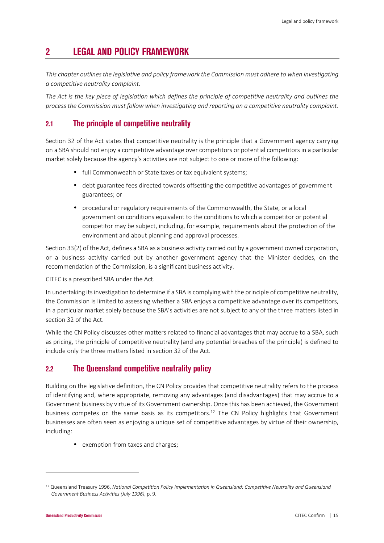# **2 LEGAL AND POLICY FRAMEWORK**

*This chapter outlines the legislative and policy framework the Commission must adhere to when investigating a competitive neutrality complaint.* 

*The Act is the key piece of legislation which defines the principle of competitive neutrality and outlines the process the Commission must follow when investigating and reporting on a competitive neutrality complaint.* 

## **2.1 The principle of competitive neutrality**

Section 32 of the Act states that competitive neutrality is the principle that a Government agency carrying on a SBA should not enjoy a competitive advantage over competitors or potential competitors in a particular market solely because the agency's activities are not subject to one or more of the following:

- full Commonwealth or State taxes or tax equivalent systems;
- debt guarantee fees directed towards offsetting the competitive advantages of government guarantees; or
- procedural or regulatory requirements of the Commonwealth, the State, or a local government on conditions equivalent to the conditions to which a competitor or potential competitor may be subject, including, for example, requirements about the protection of the environment and about planning and approval processes.

Section 33(2) of the Act, defines a SBA as a business activity carried out by a government owned corporation, or a business activity carried out by another government agency that the Minister decides, on the recommendation of the Commission, is a significant business activity.

CITEC is a prescribed SBA under the Act.

In undertaking its investigation to determine if a SBA is complying with the principle of competitive neutrality, the Commission is limited to assessing whether a SBA enjoys a competitive advantage over its competitors, in a particular market solely because the SBA's activities are not subject to any of the three matters listed in section 32 of the Act.

While the CN Policy discusses other matters related to financial advantages that may accrue to a SBA, such as pricing, the principle of competitive neutrality (and any potential breaches of the principle) is defined to include only the three matters listed in section 32 of the Act.

## **2.2 The Queensland competitive neutrality policy**

Building on the legislative definition, the CN Policy provides that competitive neutrality refers to the process of identifying and, where appropriate, removing any advantages (and disadvantages) that may accrue to a Government business by virtue of its Government ownership. Once this has been achieved, the Government business competes on the same basis as its competitors.<sup>12</sup> The CN Policy highlights that Government businesses are often seen as enjoying a unique set of competitive advantages by virtue of their ownership, including:

• exemption from taxes and charges;

<sup>12</sup> Queensland Treasury 1996, *National Competition Policy Implementation in Queensland: Competitive Neutrality and Queensland Government Business Activities (July 1996)*, p. 9.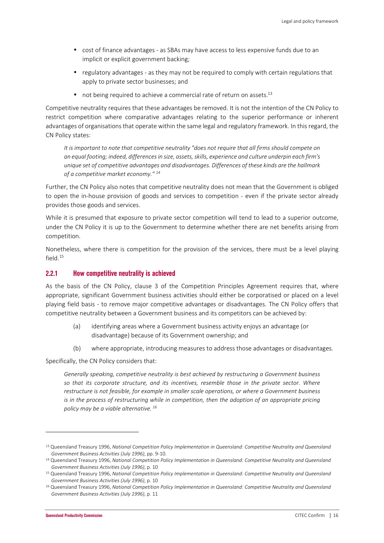- cost of finance advantages as SBAs may have access to less expensive funds due to an implicit or explicit government backing;
- regulatory advantages as they may not be required to comply with certain regulations that apply to private sector businesses; and
- $\bullet$  not being required to achieve a commercial rate of return on assets.<sup>13</sup>

Competitive neutrality requires that these advantages be removed. It is not the intention of the CN Policy to restrict competition where comparative advantages relating to the superior performance or inherent advantages of organisations that operate within the same legal and regulatory framework. In this regard, the CN Policy states:

*It is important to note that competitive neutrality "does not require that all firms should compete on an equal footing; indeed, differences in size, assets, skills, experience and culture underpin each firm's unique set of competitive advantages and disadvantages. Differences of these kinds are the hallmark of a competitive market economy." <sup>14</sup>*

Further, the CN Policy also notes that competitive neutrality does not mean that the Government is obliged to open the in-house provision of goods and services to competition - even if the private sector already provides those goods and services.

While it is presumed that exposure to private sector competition will tend to lead to a superior outcome, under the CN Policy it is up to the Government to determine whether there are net benefits arising from competition.

Nonetheless, where there is competition for the provision of the services, there must be a level playing field.<sup>15</sup>

#### **2.2.1 How competitive neutrality is achieved**

As the basis of the CN Policy, clause 3 of the Competition Principles Agreement requires that, where appropriate, significant Government business activities should either be corporatised or placed on a level playing field basis - to remove major competitive advantages or disadvantages. The CN Policy offers that competitive neutrality between a Government business and its competitors can be achieved by:

- (a) identifying areas where a Government business activity enjoys an advantage (or disadvantage) because of its Government ownership; and
- (b) where appropriate, introducing measures to address those advantages or disadvantages.

Specifically, the CN Policy considers that:

*Generally speaking, competitive neutrality is best achieved by restructuring a Government business so that its corporate structure, and its incentives, resemble those in the private sector. Where restructure is not feasible, for example in smaller scale operations, or where a Government business is in the process of restructuring while in competition, then the adoption of an appropriate pricing policy may be a viable alternative.<sup>16</sup>*

<sup>13</sup> Queensland Treasury 1996, *National Competition Policy Implementation in Queensland: Competitive Neutrality and Queensland Government Business Activities (July 1996)*, pp. 9-10.

<sup>14</sup> Queensland Treasury 1996, *National Competition Policy Implementation in Queensland: Competitive Neutrality and Queensland Government Business Activities (July 1996)*, p. 10

<sup>15</sup> Queensland Treasury 1996, *National Competition Policy Implementation in Queensland: Competitive Neutrality and Queensland Government Business Activities (July 1996)*, p. 10

<sup>16</sup> Queensland Treasury 1996, *National Competition Policy Implementation in Queensland: Competitive Neutrality and Queensland Government Business Activities (July 1996)*, p. 11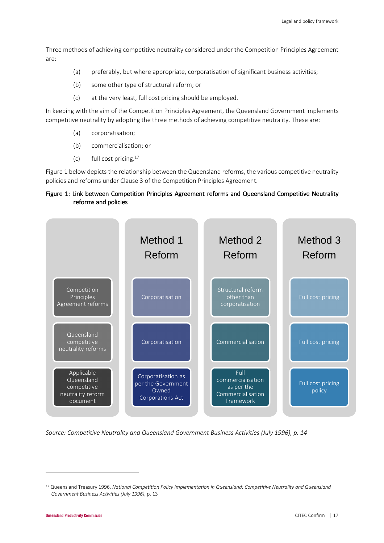Three methods of achieving competitive neutrality considered under the Competition Principles Agreement are:

- (a) preferably, but where appropriate, corporatisation of significant business activities;
- (b) some other type of structural reform; or
- (c) at the very least, full cost pricing should be employed.

In keeping with the aim of the Competition Principles Agreement, the Queensland Government implements competitive neutrality by adopting the three methods of achieving competitive neutrality. These are:

- (a) corporatisation;
- (b) commercialisation; or
- (c) full cost pricing.<sup>17</sup>

Figure 1 below depicts the relationship between the Queensland reforms, the various competitive neutrality policies and reforms under Clause 3 of the Competition Principles Agreement.

#### Figure 1: Link between Competition Principles Agreement reforms and Queensland Competitive Neutrality reforms and policies



*Source: Competitive Neutrality and Queensland Government Business Activities (July 1996), p. 14* 

<sup>17</sup> Queensland Treasury 1996, *National Competition Policy Implementation in Queensland: Competitive Neutrality and Queensland Government Business Activities (July 1996)*, p. 13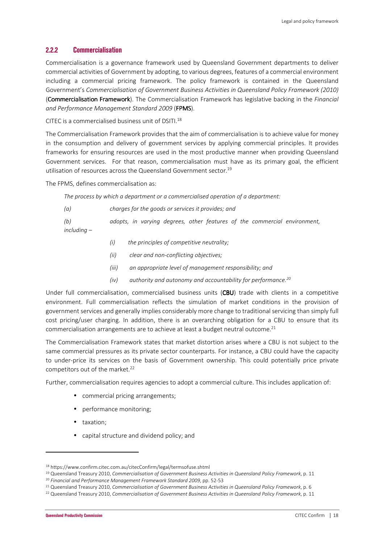#### **2.2.2 Commercialisation**

Commercialisation is a governance framework used by Queensland Government departments to deliver commercial activities of Government by adopting, to various degrees, features of a commercial environment including a commercial pricing framework. The policy framework is contained in the Queensland Government's *Commercialisation of Government Business Activities in Queensland Policy Framework (2010)* (**Commercialisation Framework**). The Commercialisation Framework has legislative backing in the *Financial and Performance Management Standard 2009* (FPMS).

CITEC is a commercialised business unit of DSITI. $^{18}$ 

The Commercialisation Framework provides that the aim of commercialisation is to achieve value for money in the consumption and delivery of government services by applying commercial principles. It provides frameworks for ensuring resources are used in the most productive manner when providing Queensland Government services. For that reason, commercialisation must have as its primary goal, the efficient utilisation of resources across the Queensland Government sector.<sup>19</sup>

The FPMS, defines commercialisation as:

*The process by which a department or a commercialised operation of a department:* 

*(a) charges for the goods or services it provides; and* 

*(b) adopts, in varying degrees, other features of the commercial environment, including –* 

- *(i) the principles of competitive neutrality;*
- *(ii) clear and non-conflicting objectives;*
- *(iii) an appropriate level of management responsibility; and*
- *(iv) authority and autonomy and accountability for performance.<sup>20</sup>*

Under full commercialisation, commercialised business units (CBU) trade with clients in a competitive environment. Full commercialisation reflects the simulation of market conditions in the provision of government services and generally implies considerably more change to traditional servicing than simply full cost pricing/user charging. In addition, there is an overarching obligation for a CBU to ensure that its commercialisation arrangements are to achieve at least a budget neutral outcome.<sup>21</sup>

The Commercialisation Framework states that market distortion arises where a CBU is not subject to the same commercial pressures as its private sector counterparts. For instance, a CBU could have the capacity to under-price its services on the basis of Government ownership. This could potentially price private competitors out of the market.<sup>22</sup>

Further, commercialisation requires agencies to adopt a commercial culture. This includes application of:

- commercial pricing arrangements;
- performance monitoring;
- taxation;
- capital structure and dividend policy; and

<sup>18</sup> https://www.confirm.citec.com.au/citecConfirm/legal/termsofuse.shtml

<sup>19</sup> Queensland Treasury 2010, *Commercialisation of Government Business Activities in Queensland Policy Framework*, p. 11 <sup>20</sup> *Financial and Performance Management Framework Standard 2009*, pp. 52-53

<sup>21</sup> Queensland Treasury 2010, *Commercialisation of Government Business Activities in Queensland Policy Framework*, p. 6

<sup>22</sup> Queensland Treasury 2010, *Commercialisation of Government Business Activities in Queensland Policy Framework*, p. 11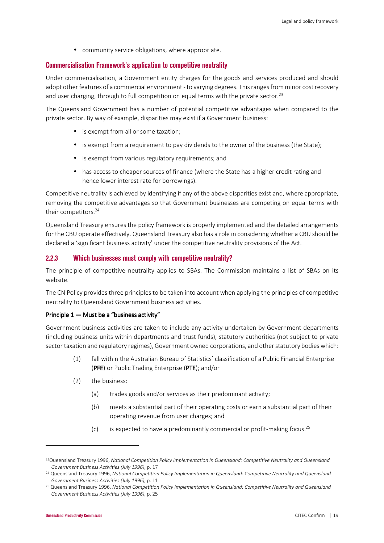• community service obligations, where appropriate.

#### **Commercialisation Framework's application to competitive neutrality**

Under commercialisation, a Government entity charges for the goods and services produced and should adopt other features of a commercial environment - to varying degrees. This ranges from minor cost recovery and user charging, through to full competition on equal terms with the private sector.<sup>23</sup>

The Queensland Government has a number of potential competitive advantages when compared to the private sector. By way of example, disparities may exist if a Government business:

- is exempt from all or some taxation;
- is exempt from a requirement to pay dividends to the owner of the business (the State);
- is exempt from various regulatory requirements; and
- has access to cheaper sources of finance (where the State has a higher credit rating and hence lower interest rate for borrowings).

Competitive neutrality is achieved by identifying if any of the above disparities exist and, where appropriate, removing the competitive advantages so that Government businesses are competing on equal terms with their competitors.<sup>24</sup>

Queensland Treasury ensures the policy framework is properly implemented and the detailed arrangements for the CBU operate effectively. Queensland Treasury also has a role in considering whether a CBU should be declared a 'significant business activity' under the competitive neutrality provisions of the Act.

### **2.2.3 Which businesses must comply with competitive neutrality?**

The principle of competitive neutrality applies to SBAs. The Commission maintains a list of SBAs on its website.

The CN Policy provides three principles to be taken into account when applying the principles of competitive neutrality to Queensland Government business activities.

#### Principle  $1 -$  Must be a "business activity"

Government business activities are taken to include any activity undertaken by Government departments (including business units within departments and trust funds), statutory authorities (not subject to private sector taxation and regulatory regimes), Government owned corporations, and other statutory bodies which:

- (1) fall within the Australian Bureau of Statistics' classification of a Public Financial Enterprise (PFE) or Public Trading Enterprise (PTE); and/or
- (2) the business:
	- (a) trades goods and/or services as their predominant activity;
	- (b) meets a substantial part of their operating costs or earn a substantial part of their operating revenue from user charges; and
	- $(c)$  is expected to have a predominantly commercial or profit-making focus.<sup>25</sup>

<sup>23</sup>Queensland Treasury 1996, *National Competition Policy Implementation in Queensland: Competitive Neutrality and Queensland Government Business Activities (July 1996)*, p. 17

<sup>24</sup> Queensland Treasury 1996, *National Competition Policy Implementation in Queensland: Competitive Neutrality and Queensland Government Business Activities (July 1996)*, p. 11

<sup>25</sup> Queensland Treasury 1996, *National Competition Policy Implementation in Queensland: Competitive Neutrality and Queensland Government Business Activities (July 1996)*, p. 25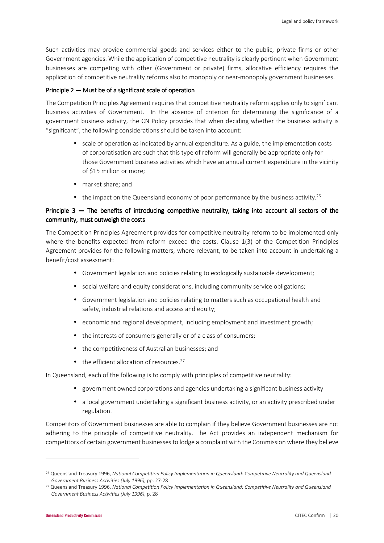Such activities may provide commercial goods and services either to the public, private firms or other Government agencies. While the application of competitive neutrality is clearly pertinent when Government businesses are competing with other (Government or private) firms, allocative efficiency requires the application of competitive neutrality reforms also to monopoly or near-monopoly government businesses.

#### Principle  $2 -$  Must be of a significant scale of operation

The Competition Principles Agreement requires that competitive neutrality reform applies only to significant business activities of Government. In the absence of criterion for determining the significance of a government business activity, the CN Policy provides that when deciding whether the business activity is "significant", the following considerations should be taken into account:

- scale of operation as indicated by annual expenditure. As a guide, the implementation costs of corporatisation are such that this type of reform will generally be appropriate only for those Government business activities which have an annual current expenditure in the vicinity of \$15 million or more;
- market share; and
- $\bullet$  the impact on the Queensland economy of poor performance by the business activity.<sup>26</sup>

#### Principle 3 — The benefits of introducing competitive neutrality, taking into account all sectors of the community, must outweigh the costs

The Competition Principles Agreement provides for competitive neutrality reform to be implemented only where the benefits expected from reform exceed the costs. Clause 1(3) of the Competition Principles Agreement provides for the following matters, where relevant, to be taken into account in undertaking a benefit/cost assessment:

- Government legislation and policies relating to ecologically sustainable development;
- social welfare and equity considerations, including community service obligations;
- Government legislation and policies relating to matters such as occupational health and safety, industrial relations and access and equity;
- economic and regional development, including employment and investment growth;
- the interests of consumers generally or of a class of consumers;
- the competitiveness of Australian businesses; and
- $\bullet$  the efficient allocation of resources.<sup>27</sup>

In Queensland, each of the following is to comply with principles of competitive neutrality:

- government owned corporations and agencies undertaking a significant business activity
- a local government undertaking a significant business activity, or an activity prescribed under regulation.

Competitors of Government businesses are able to complain if they believe Government businesses are not adhering to the principle of competitive neutrality. The Act provides an independent mechanism for competitors of certain government businesses to lodge a complaint with the Commission where they believe

<sup>26</sup> Queensland Treasury 1996, *National Competition Policy Implementation in Queensland: Competitive Neutrality and Queensland Government Business Activities (July 1996)*, pp. 27-28

<sup>27</sup> Queensland Treasury 1996, *National Competition Policy Implementation in Queensland: Competitive Neutrality and Queensland Government Business Activities (July 1996)*, p. 28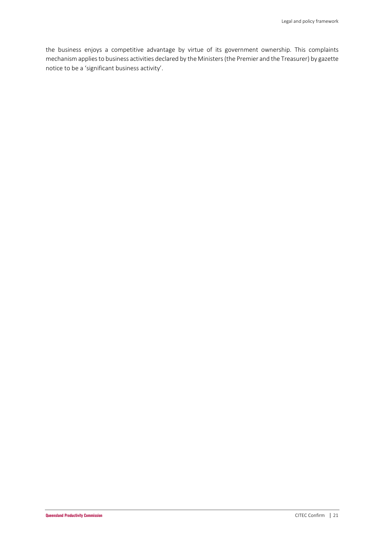the business enjoys a competitive advantage by virtue of its government ownership. This complaints mechanism applies to business activities declared by the Ministers (the Premier and the Treasurer) by gazette notice to be a 'significant business activity'.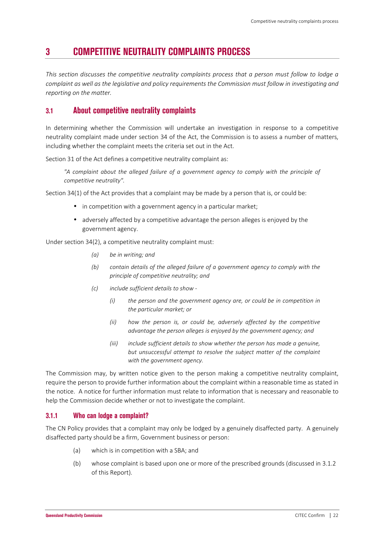## **3 COMPETITIVE NEUTRALITY COMPLAINTS PROCESS**

*This section discusses the competitive neutrality complaints process that a person must follow to lodge a complaint as well as the legislative and policy requirements the Commission must follow in investigating and reporting on the matter.* 

## **3.1 About competitive neutrality complaints**

In determining whether the Commission will undertake an investigation in response to a competitive neutrality complaint made under section 34 of the Act, the Commission is to assess a number of matters, including whether the complaint meets the criteria set out in the Act.

Section 31 of the Act defines a competitive neutrality complaint as:

*"A complaint about the alleged failure of a government agency to comply with the principle of competitive neutrality".* 

Section 34(1) of the Act provides that a complaint may be made by a person that is, or could be:

- in competition with a government agency in a particular market;
- adversely affected by a competitive advantage the person alleges is enjoyed by the government agency.

Under section 34(2), a competitive neutrality complaint must:

- *(a) be in writing; and*
- *(b) contain details of the alleged failure of a government agency to comply with the principle of competitive neutrality; and*
- *(c) include sufficient details to show* 
	- *(i) the person and the government agency are, or could be in competition in the particular market; or*
	- *(ii) how the person is, or could be, adversely affected by the competitive advantage the person alleges is enjoyed by the government agency; and*
	- *(iii) include sufficient details to show whether the person has made a genuine, but unsuccessful attempt to resolve the subject matter of the complaint with the government agency.*

The Commission may, by written notice given to the person making a competitive neutrality complaint, require the person to provide further information about the complaint within a reasonable time as stated in the notice. A notice for further information must relate to information that is necessary and reasonable to help the Commission decide whether or not to investigate the complaint.

#### **3.1.1 Who can lodge a complaint?**

The CN Policy provides that a complaint may only be lodged by a genuinely disaffected party. A genuinely disaffected party should be a firm, Government business or person:

- (a) which is in competition with a SBA; and
- (b) whose complaint is based upon one or more of the prescribed grounds (discussed in 3.1.2 of this Report).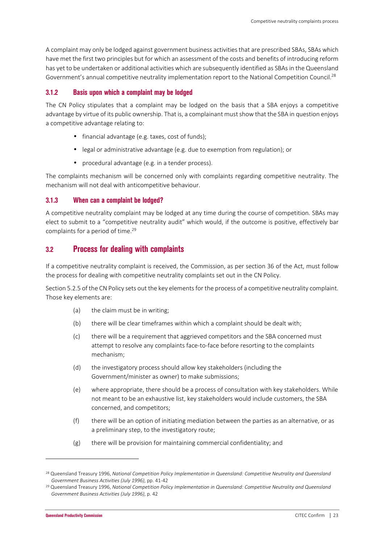A complaint may only be lodged against government business activities that are prescribed SBAs, SBAs which have met the first two principles but for which an assessment of the costs and benefits of introducing reform has yet to be undertaken or additional activities which are subsequently identified as SBAs in the Queensland Government's annual competitive neutrality implementation report to the National Competition Council.<sup>28</sup>

#### **3.1.2 Basis upon which a complaint may be lodged**

The CN Policy stipulates that a complaint may be lodged on the basis that a SBA enjoys a competitive advantage by virtue of its public ownership. That is, a complainant must show that the SBA in question enjoys a competitive advantage relating to:

- financial advantage (e.g. taxes, cost of funds);
- legal or administrative advantage (e.g. due to exemption from regulation); or
- procedural advantage (e.g. in a tender process).

The complaints mechanism will be concerned only with complaints regarding competitive neutrality. The mechanism will not deal with anticompetitive behaviour.

#### **3.1.3 When can a complaint be lodged?**

A competitive neutrality complaint may be lodged at any time during the course of competition. SBAs may elect to submit to a "competitive neutrality audit" which would, if the outcome is positive, effectively bar complaints for a period of time.<sup>29</sup>

## **3.2 Process for dealing with complaints**

If a competitive neutrality complaint is received, the Commission, as per section 36 of the Act, must follow the process for dealing with competitive neutrality complaints set out in the CN Policy.

Section 5.2.5 of the CN Policy sets out the key elements for the process of a competitive neutrality complaint. Those key elements are:

- (a) the claim must be in writing;
- (b) there will be clear timeframes within which a complaint should be dealt with;
- (c) there will be a requirement that aggrieved competitors and the SBA concerned must attempt to resolve any complaints face-to-face before resorting to the complaints mechanism;
- (d) the investigatory process should allow key stakeholders (including the Government/minister as owner) to make submissions;
- (e) where appropriate, there should be a process of consultation with key stakeholders. While not meant to be an exhaustive list, key stakeholders would include customers, the SBA concerned, and competitors;
- (f) there will be an option of initiating mediation between the parties as an alternative, or as a preliminary step, to the investigatory route;
- (g) there will be provision for maintaining commercial confidentiality; and

<sup>28</sup> Queensland Treasury 1996, *National Competition Policy Implementation in Queensland: Competitive Neutrality and Queensland Government Business Activities (July 1996)*, pp. 41-42

<sup>29</sup> Queensland Treasury 1996, *National Competition Policy Implementation in Queensland: Competitive Neutrality and Queensland Government Business Activities (July 1996)*, p. 42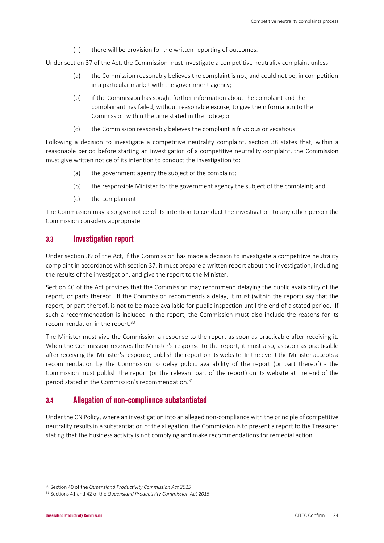(h) there will be provision for the written reporting of outcomes.

Under section 37 of the Act, the Commission must investigate a competitive neutrality complaint unless:

- (a) the Commission reasonably believes the complaint is not, and could not be, in competition in a particular market with the government agency;
- (b) if the Commission has sought further information about the complaint and the complainant has failed, without reasonable excuse, to give the information to the Commission within the time stated in the notice; or
- (c) the Commission reasonably believes the complaint is frivolous or vexatious.

Following a decision to investigate a competitive neutrality complaint, section 38 states that, within a reasonable period before starting an investigation of a competitive neutrality complaint, the Commission must give written notice of its intention to conduct the investigation to:

- (a) the government agency the subject of the complaint;
- (b) the responsible Minister for the government agency the subject of the complaint; and
- (c) the complainant.

The Commission may also give notice of its intention to conduct the investigation to any other person the Commission considers appropriate.

### **3.3 Investigation report**

Under section 39 of the Act, if the Commission has made a decision to investigate a competitive neutrality complaint in accordance with section 37, it must prepare a written report about the investigation, including the results of the investigation, and give the report to the Minister.

Section 40 of the Act provides that the Commission may recommend delaying the public availability of the report, or parts thereof. If the Commission recommends a delay, it must (within the report) say that the report, or part thereof, is not to be made available for public inspection until the end of a stated period. If such a recommendation is included in the report, the Commission must also include the reasons for its recommendation in the report.<sup>30</sup>

The Minister must give the Commission a response to the report as soon as practicable after receiving it. When the Commission receives the Minister's response to the report, it must also, as soon as practicable after receiving the Minister's response, publish the report on its website. In the event the Minister accepts a recommendation by the Commission to delay public availability of the report (or part thereof) - the Commission must publish the report (or the relevant part of the report) on its website at the end of the period stated in the Commission's recommendation.<sup>31</sup>

### **3.4 Allegation of non-compliance substantiated**

Under the CN Policy, where an investigation into an alleged non-compliance with the principle of competitive neutrality results in a substantiation of the allegation, the Commission is to present a report to the Treasurer stating that the business activity is not complying and make recommendations for remedial action.

<sup>30</sup> Section 40 of the *Queensland Productivity Commission Act 2015*

<sup>31</sup> Sections 41 and 42 of the *Queensland Productivity Commission Act 2015*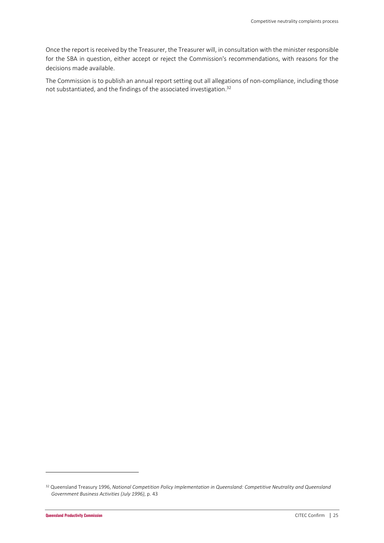Once the report is received by the Treasurer, the Treasurer will, in consultation with the minister responsible for the SBA in question, either accept or reject the Commission's recommendations, with reasons for the decisions made available.

The Commission is to publish an annual report setting out all allegations of non-compliance, including those not substantiated, and the findings of the associated investigation.<sup>32</sup>

<sup>32</sup> Queensland Treasury 1996, *National Competition Policy Implementation in Queensland: Competitive Neutrality and Queensland Government Business Activities (July 1996)*, p. 43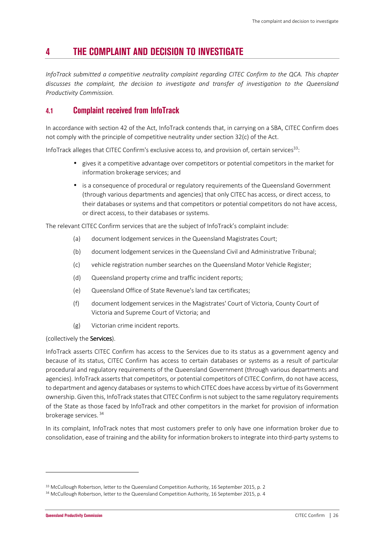## **4 THE COMPLAINT AND DECISION TO INVESTIGATE**

*InfoTrack submitted a competitive neutrality complaint regarding CITEC Confirm to the QCA. This chapter discusses the complaint, the decision to investigate and transfer of investigation to the Queensland Productivity Commission.* 

## **4.1 Complaint received from InfoTrack**

In accordance with section 42 of the Act, InfoTrack contends that, in carrying on a SBA, CITEC Confirm does not comply with the principle of competitive neutrality under section 32(c) of the Act.

InfoTrack alleges that CITEC Confirm's exclusive access to, and provision of, certain services<sup>33</sup>:

- gives it a competitive advantage over competitors or potential competitors in the market for information brokerage services; and
- is a consequence of procedural or regulatory requirements of the Queensland Government (through various departments and agencies) that only CITEC has access, or direct access, to their databases or systems and that competitors or potential competitors do not have access, or direct access, to their databases or systems.

The relevant CITEC Confirm services that are the subject of InfoTrack's complaint include:

- (a) document lodgement services in the Queensland Magistrates Court;
- (b) document lodgement services in the Queensland Civil and Administrative Tribunal;
- (c) vehicle registration number searches on the Queensland Motor Vehicle Register;
- (d) Queensland property crime and traffic incident reports;
- (e) Queensland Office of State Revenue's land tax certificates;
- (f) document lodgement services in the Magistrates' Court of Victoria, County Court of Victoria and Supreme Court of Victoria; and
- (g) Victorian crime incident reports.

#### (collectively the Services).

InfoTrack asserts CITEC Confirm has access to the Services due to its status as a government agency and because of its status, CITEC Confirm has access to certain databases or systems as a result of particular procedural and regulatory requirements of the Queensland Government (through various departments and agencies). InfoTrack asserts that competitors, or potential competitors of CITEC Confirm, do not have access, to department and agency databases or systems to which CITEC does have access by virtue of its Government ownership. Given this, InfoTrack states that CITEC Confirm is not subject to the same regulatory requirements of the State as those faced by InfoTrack and other competitors in the market for provision of information brokerage services.<sup>34</sup>

In its complaint, InfoTrack notes that most customers prefer to only have one information broker due to consolidation, ease of training and the ability for information brokers to integrate into third-party systems to

<sup>&</sup>lt;sup>33</sup> McCullough Robertson, letter to the Queensland Competition Authority, 16 September 2015, p. 2

<sup>&</sup>lt;sup>34</sup> McCullough Robertson, letter to the Queensland Competition Authority, 16 September 2015, p. 4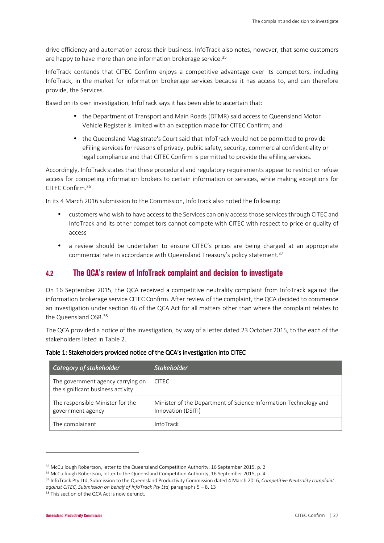drive efficiency and automation across their business. InfoTrack also notes, however, that some customers are happy to have more than one information brokerage service.<sup>35</sup>

InfoTrack contends that CITEC Confirm enjoys a competitive advantage over its competitors, including InfoTrack, in the market for information brokerage services because it has access to, and can therefore provide, the Services.

Based on its own investigation, InfoTrack says it has been able to ascertain that:

- the Department of Transport and Main Roads (DTMR) said access to Queensland Motor Vehicle Register is limited with an exception made for CITEC Confirm; and
- the Queensland Magistrate's Court said that InfoTrack would not be permitted to provide eFiling services for reasons of privacy, public safety, security, commercial confidentiality or legal compliance and that CITEC Confirm is permitted to provide the eFiling services.

Accordingly, InfoTrack states that these procedural and regulatory requirements appear to restrict or refuse access for competing information brokers to certain information or services, while making exceptions for CITEC Confirm.<sup>36</sup>

In its 4 March 2016 submission to the Commission, InfoTrack also noted the following:

- customers who wish to have access to the Services can only access those services through CITEC and InfoTrack and its other competitors cannot compete with CITEC with respect to price or quality of access
- a review should be undertaken to ensure CITEC's prices are being charged at an appropriate commercial rate in accordance with Queensland Treasury's policy statement.<sup>37</sup>

### **4.2 The QCA's review of InfoTrack complaint and decision to investigate**

On 16 September 2015, the QCA received a competitive neutrality complaint from InfoTrack against the information brokerage service CITEC Confirm. After review of the complaint, the QCA decided to commence an investigation under section 46 of the QCA Act for all matters other than where the complaint relates to the Queensland OSR.<sup>38</sup>

The QCA provided a notice of the investigation, by way of a letter dated 23 October 2015, to the each of the stakeholders listed in Table 2.

| Category of stakeholder                                                | <b>Stakeholder</b>                                                                     |
|------------------------------------------------------------------------|----------------------------------------------------------------------------------------|
| The government agency carrying on<br>the significant business activity | <b>CITEC</b>                                                                           |
| The responsible Minister for the<br>government agency                  | Minister of the Department of Science Information Technology and<br>Innovation (DSITI) |
| The complainant                                                        | InfoTrack                                                                              |

#### Table 1: Stakeholders provided notice of the QCA's investigation into CITEC

<sup>36</sup> McCullough Robertson, letter to the Queensland Competition Authority, 16 September 2015, p. 4

<sup>&</sup>lt;sup>35</sup> McCullough Robertson, letter to the Queensland Competition Authority, 16 September 2015, p. 2

<sup>37</sup> InfoTrack Pty Ltd, Submission to the Queensland Productivity Commission dated 4 March 2016, *Competitive Neutrality complaint against CITEC, Submission on behalf of InfoTrack Pty Ltd*, paragraphs 5 – 8, 13

<sup>&</sup>lt;sup>38</sup> This section of the QCA Act is now defunct.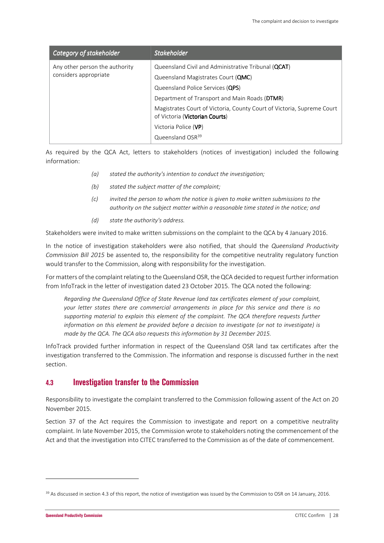| Category of stakeholder                                 | <b>Stakeholder</b>                                                                                                            |
|---------------------------------------------------------|-------------------------------------------------------------------------------------------------------------------------------|
| Any other person the authority<br>considers appropriate | Queensland Civil and Administrative Tribunal (QCAT)<br>Queensland Magistrates Court (QMC)<br>Queensland Police Services (QPS) |
|                                                         | Department of Transport and Main Roads (DTMR)                                                                                 |
|                                                         | Magistrates Court of Victoria, County Court of Victoria, Supreme Court<br>of Victoria (Victorian Courts)                      |
|                                                         | Victoria Police (VP)                                                                                                          |
|                                                         | Queensland OSR <sup>39</sup>                                                                                                  |

As required by the QCA Act, letters to stakeholders (notices of investigation) included the following information:

- *(a) stated the authority's intention to conduct the investigation;*
- *(b) stated the subject matter of the complaint;*
- *(c) invited the person to whom the notice is given to make written submissions to the authority on the subject matter within a reasonable time stated in the notice; and*
- *(d) state the authority's address.*

Stakeholders were invited to make written submissions on the complaint to the QCA by 4 January 2016.

In the notice of investigation stakeholders were also notified, that should the *Queensland Productivity Commission Bill 2015* be assented to, the responsibility for the competitive neutrality regulatory function would transfer to the Commission, along with responsibility for the investigation.

For matters of the complaint relating to the Queensland OSR, the QCA decided to request further information from InfoTrack in the letter of investigation dated 23 October 2015. The QCA noted the following:

*Regarding the Queensland Office of State Revenue land tax certificates element of your complaint, your letter states there are commercial arrangements in place for this service and there is no supporting material to explain this element of the complaint. The QCA therefore requests further information on this element be provided before a decision to investigate (or not to investigate) is made by the QCA. The QCA also requests this information by 31 December 2015.* 

InfoTrack provided further information in respect of the Queensland OSR land tax certificates after the investigation transferred to the Commission. The information and response is discussed further in the next section.

### **4.3 Investigation transfer to the Commission**

Responsibility to investigate the complaint transferred to the Commission following assent of the Act on 20 November 2015.

Section 37 of the Act requires the Commission to investigate and report on a competitive neutrality complaint. In late November 2015, the Commission wrote to stakeholders noting the commencement of the Act and that the investigation into CITEC transferred to the Commission as of the date of commencement.

<sup>&</sup>lt;sup>39</sup> As discussed in section 4.3 of this report, the notice of investigation was issued by the Commission to OSR on 14 January, 2016.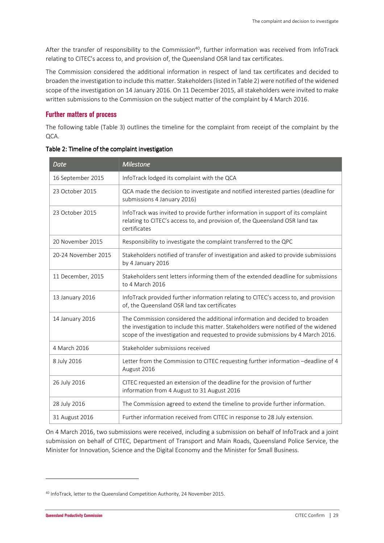After the transfer of responsibility to the Commission<sup>40</sup>, further information was received from InfoTrack relating to CITEC's access to, and provision of, the Queensland OSR land tax certificates.

The Commission considered the additional information in respect of land tax certificates and decided to broaden the investigation to include this matter. Stakeholders (listed in Table 2) were notified of the widened scope of the investigation on 14 January 2016. On 11 December 2015, all stakeholders were invited to make written submissions to the Commission on the subject matter of the complaint by 4 March 2016.

### **Further matters of process**

The following table (Table 3) outlines the timeline for the complaint from receipt of the complaint by the QCA.

| <b>Date</b>         | <b>Milestone</b>                                                                                                                                                                                                                                       |
|---------------------|--------------------------------------------------------------------------------------------------------------------------------------------------------------------------------------------------------------------------------------------------------|
| 16 September 2015   | InfoTrack lodged its complaint with the QCA                                                                                                                                                                                                            |
| 23 October 2015     | QCA made the decision to investigate and notified interested parties (deadline for<br>submissions 4 January 2016)                                                                                                                                      |
| 23 October 2015     | InfoTrack was invited to provide further information in support of its complaint<br>relating to CITEC's access to, and provision of, the Queensland OSR land tax<br>certificates                                                                       |
| 20 November 2015    | Responsibility to investigate the complaint transferred to the QPC                                                                                                                                                                                     |
| 20-24 November 2015 | Stakeholders notified of transfer of investigation and asked to provide submissions<br>by 4 January 2016                                                                                                                                               |
| 11 December, 2015   | Stakeholders sent letters informing them of the extended deadline for submissions<br>to 4 March 2016                                                                                                                                                   |
| 13 January 2016     | InfoTrack provided further information relating to CITEC's access to, and provision<br>of, the Queensland OSR land tax certificates                                                                                                                    |
| 14 January 2016     | The Commission considered the additional information and decided to broaden<br>the investigation to include this matter. Stakeholders were notified of the widened<br>scope of the investigation and requested to provide submissions by 4 March 2016. |
| 4 March 2016        | Stakeholder submissions received                                                                                                                                                                                                                       |
| 8 July 2016         | Letter from the Commission to CITEC requesting further information -deadline of 4<br>August 2016                                                                                                                                                       |
| 26 July 2016        | CITEC requested an extension of the deadline for the provision of further<br>information from 4 August to 31 August 2016                                                                                                                               |
| 28 July 2016        | The Commission agreed to extend the timeline to provide further information.                                                                                                                                                                           |
| 31 August 2016      | Further information received from CITEC in response to 28 July extension.                                                                                                                                                                              |

On 4 March 2016, two submissions were received, including a submission on behalf of InfoTrack and a joint submission on behalf of CITEC, Department of Transport and Main Roads, Queensland Police Service, the Minister for Innovation, Science and the Digital Economy and the Minister for Small Business.

<sup>40</sup> InfoTrack, letter to the Queensland Competition Authority, 24 November 2015.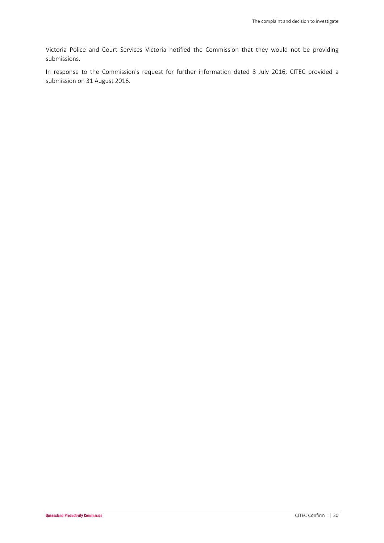Victoria Police and Court Services Victoria notified the Commission that they would not be providing submissions.

In response to the Commission's request for further information dated 8 July 2016, CITEC provided a submission on 31 August 2016.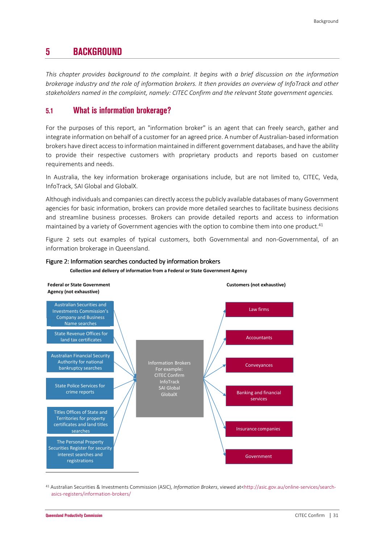## **5 BACKGROUND**

*This chapter provides background to the complaint. It begins with a brief discussion on the information brokerage industry and the role of information brokers. It then provides an overview of InfoTrack and other stakeholders named in the complaint, namely: CITEC Confirm and the relevant State government agencies.* 

## **5.1 What is information brokerage?**

For the purposes of this report, an "information broker" is an agent that can freely search, gather and integrate information on behalf of a customer for an agreed price. A number of Australian-based information brokers have direct access to information maintained in different government databases, and have the ability to provide their respective customers with proprietary products and reports based on customer requirements and needs.

In Australia, the key information brokerage organisations include, but are not limited to, CITEC, Veda, InfoTrack, SAI Global and GlobalX.

Although individuals and companies can directly access the publicly available databases of many Government agencies for basic information, brokers can provide more detailed searches to facilitate business decisions and streamline business processes. Brokers can provide detailed reports and access to information maintained by a variety of Government agencies with the option to combine them into one product.<sup>41</sup>

Figure 2 sets out examples of typical customers, both Governmental and non-Governmental, of an information brokerage in Queensland.



#### Figure 2: Information searches conducted by information brokers

**Collection and delivery of information from a Federal or State Government Agency** 

41 Australian Securities & Investments Commission (ASIC), *Information Brokers*, viewed at<http://asic.gov.au/online-services/searchasics-registers/information-brokers/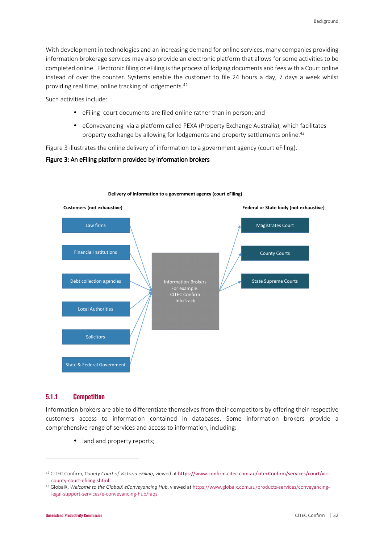With development in technologies and an increasing demand for online services, many companies providing information brokerage services may also provide an electronic platform that allows for some activities to be completed online. Electronic filing or eFiling is the process of lodging documents and fees with a Court online instead of over the counter. Systems enable the customer to file 24 hours a day, 7 days a week whilst providing real time, online tracking of lodgements.<sup>42</sup>

Such activities include:

- eFiling court documents are filed online rather than in person; and
- eConveyancing via a platform called PEXA (Property Exchange Australia), which facilitates property exchange by allowing for lodgements and property settlements online.<sup>43</sup>

Figure 3 illustrates the online delivery of information to a government agency (court eFiling).

### Figure 3: An eFiling platform provided by information brokers



#### **Delivery of information to a government agency (court eFiling)**

### **5.1.1 Competition**

Information brokers are able to differentiate themselves from their competitors by offering their respective customers access to information contained in databases. Some information brokers provide a comprehensive range of services and access to information, including:

• land and property reports;

<sup>42</sup> CITEC Confirm, *County Court of Victoria eFiling*, viewed at https://www.confirm.citec.com.au/citecConfirm/services/court/viccounty-court-efiling.shtml

<sup>43</sup> GlobalX, *Welcome to the GlobalX eConveyancing Hub*, viewed at https://www.globalx.com.au/products-services/conveyancinglegal-support-services/e-conveyancing-hub/faqs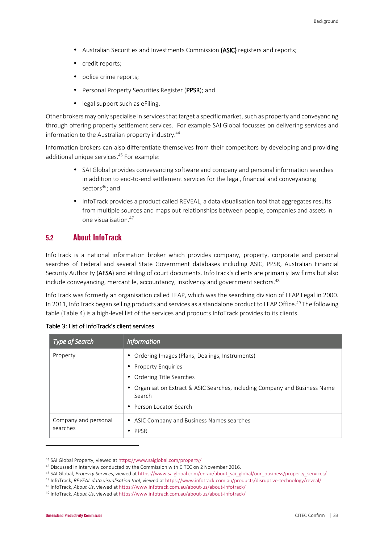- Australian Securities and Investments Commission (ASIC) registers and reports;
- credit reports;
- police crime reports;
- Personal Property Securities Register (PPSR); and
- legal support such as eFiling.

Other brokers may only specialise in services that target a specific market, such as property and conveyancing through offering property settlement services. For example SAI Global focusses on delivering services and information to the Australian property industry.<sup>44</sup>

Information brokers can also differentiate themselves from their competitors by developing and providing additional unique services.<sup>45</sup> For example:

- SAI Global provides conveyancing software and company and personal information searches in addition to end-to-end settlement services for the legal, financial and conveyancing sectors<sup>46</sup>; and
- InfoTrack provides a product called REVEAL, a data visualisation tool that aggregates results from multiple sources and maps out relationships between people, companies and assets in one visualisation.<sup>47</sup>

## **5.2 About InfoTrack**

InfoTrack is a national information broker which provides company, property, corporate and personal searches of Federal and several State Government databases including ASIC, PPSR, Australian Financial Security Authority (AFSA) and eFiling of court documents. InfoTrack's clients are primarily law firms but also include conveyancing, mercantile, accountancy, insolvency and government sectors.<sup>48</sup>

InfoTrack was formerly an organisation called LEAP, which was the searching division of LEAP Legal in 2000. In 2011, InfoTrack began selling products and services as a standalone product to LEAP Office.<sup>49</sup> The following table (Table 4) is a high-level list of the services and products InfoTrack provides to its clients.

| Type of Search                   | <b>Information</b>                                                                    |  |
|----------------------------------|---------------------------------------------------------------------------------------|--|
| Property                         | • Ordering Images (Plans, Dealings, Instruments)                                      |  |
|                                  | • Property Enquiries                                                                  |  |
|                                  | • Ordering Title Searches                                                             |  |
|                                  | • Organisation Extract & ASIC Searches, including Company and Business Name<br>Search |  |
|                                  | • Person Locator Search                                                               |  |
| Company and personal<br>searches | • ASIC Company and Business Names searches<br>$\bullet$ PPSR                          |  |

|  |  |  | Table 3: List of InfoTrack's client services |
|--|--|--|----------------------------------------------|
|--|--|--|----------------------------------------------|

<sup>44</sup> SAI Global Property, viewed at https://www.saiglobal.com/property/

<sup>45</sup> Discussed in interview conducted by the Commission with CITEC on 2 November 2016.

<sup>46</sup> SAI Global, *Property Services*, viewed at https://www.saiglobal.com/en-au/about\_sai\_global/our\_business/property\_services/

<sup>47</sup> InfoTrack, *REVEAL data visualisation tool*, viewed at https://www.infotrack.com.au/products/disruptive-technology/reveal/

<sup>48</sup> InfoTrack, *About Us*, viewed at https://www.infotrack.com.au/about-us/about-infotrack/

<sup>49</sup> InfoTrack, *About Us*, viewed at https://www.infotrack.com.au/about-us/about-infotrack/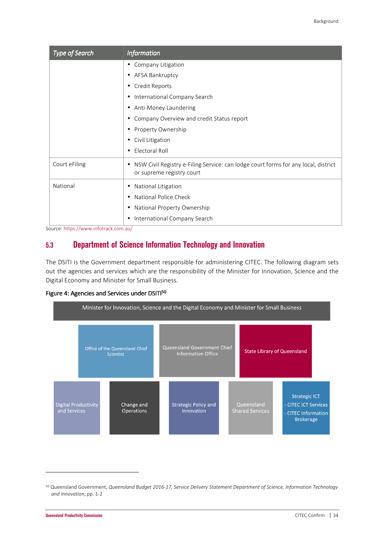| Type of Search | <b>Information</b>                                                                                                   |
|----------------|----------------------------------------------------------------------------------------------------------------------|
|                | Company Litigation<br>$\bullet$                                                                                      |
|                | AFSA Bankruptcy<br>$\bullet$                                                                                         |
|                | Credit Reports<br>٠                                                                                                  |
|                | International Company Search<br>٠                                                                                    |
|                | Anti-Money Laundering<br>٠                                                                                           |
|                | Company Overview and credit Status report                                                                            |
|                | Property Ownership<br>٠                                                                                              |
|                | Civil Litigation<br>٠                                                                                                |
|                | Electoral Roll<br>$\bullet$                                                                                          |
| Court eFiling  | NSW Civil Registry e-Filing Service: can lodge court forms for any local, district<br>٠<br>or supreme registry court |
| National       | National Litigation<br>٠                                                                                             |
|                | National Police Check<br>$\bullet$                                                                                   |
|                | National Property Ownership<br>٠                                                                                     |
|                | International Company Search<br>٠                                                                                    |

Source: https://www.infotrack.com.au/

## **5.3 Department of Science Information Technology and Innovation**

The DSITI is the Government department responsible for administering CITEC. The following diagram sets out the agencies and services which are the responsibility of the Minister for Innovation, Science and the Digital Economy and Minister for Small Business.

#### Figure 4: Agencies and Services under DSITI<sup>50</sup>



<sup>50</sup> Queensland Government, *Queensland Budget 2016-17, Service Delivery Statement Department of Science, Information Technology and Innovation*, pp. 1-2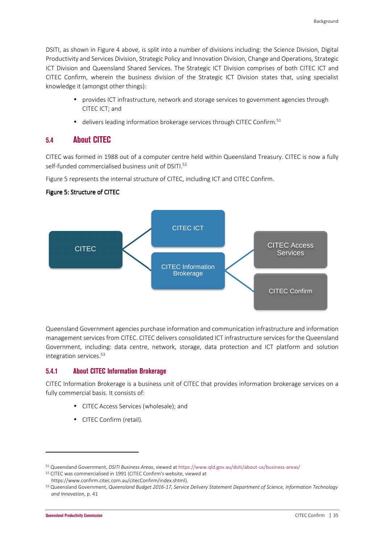DSITI, as shown in Figure 4 above, is split into a number of divisions including: the Science Division, Digital Productivity and Services Division, Strategic Policy and Innovation Division, Change and Operations, Strategic ICT Division and Queensland Shared Services. The Strategic ICT Division comprises of both CITEC ICT and CITEC Confirm, wherein the business division of the Strategic ICT Division states that, using specialist knowledge it (amongst other things):

- provides ICT infrastructure, network and storage services to government agencies through CITEC ICT; and
- $\bullet$  delivers leading information brokerage services through CITEC Confirm.<sup>51</sup>

### **5.4 About CITEC**

CITEC was formed in 1988 out of a computer centre held within Queensland Treasury. CITEC is now a fully self-funded commercialised business unit of DSITI.<sup>52</sup>

Figure 5 represents the internal structure of CITEC, including ICT and CITEC Confirm.

#### Figure 5: Structure of CITEC



Queensland Government agencies purchase information and communication infrastructure and information management services from CITEC. CITEC delivers consolidated ICT infrastructure services for the Queensland Government, including: data centre, network, storage, data protection and ICT platform and solution integration services.<sup>53</sup>

#### **5.4.1 About CITEC Information Brokerage**

CITEC Information Brokerage is a business unit of CITEC that provides information brokerage services on a fully commercial basis. It consists of:

- CITEC Access Services (wholesale); and
- CITEC Confirm (retail).

<sup>51</sup> Queensland Government, *DSITI Business Areas*, viewed at https://www.qld.gov.au/dsiti/about-us/business-areas/

<sup>52</sup> CITEC was commercialised in 1991 (CITEC Confirm's website, viewed at https://www.confirm.citec.com.au/citecConfirm/index.shtml).

<sup>53</sup> Queensland Government, *Queensland Budget 2016-17, Service Delivery Statement Department of Science, Information Technology and Innovation*, p. 41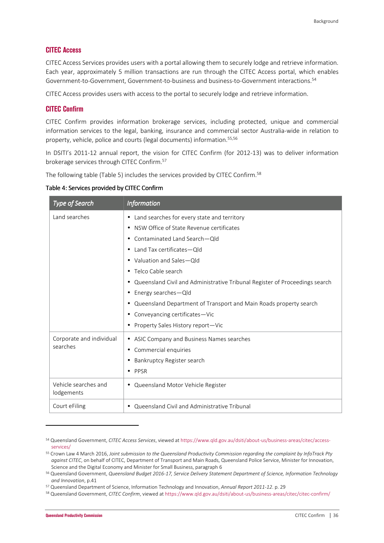### **CITEC Access**

CITEC Access Services provides users with a portal allowing them to securely lodge and retrieve information. Each year, approximately 5 million transactions are run through the CITEC Access portal, which enables Government-to-Government, Government-to-business and business-to-Government interactions.<sup>54</sup>

CITEC Access provides users with access to the portal to securely lodge and retrieve information.

#### **CITEC Confirm**

CITEC Confirm provides information brokerage services, including protected, unique and commercial information services to the legal, banking, insurance and commercial sector Australia-wide in relation to property, vehicle, police and courts (legal documents) information.<sup>55,56</sup>

In DSITI's 2011-12 annual report, the vision for CITEC Confirm (for 2012-13) was to deliver information brokerage services through CITEC Confirm.<sup>57</sup>

The following table (Table 5) includes the services provided by CITEC Confirm.<sup>58</sup>

| Table 4: Services provided by CITEC Confirm |  |  |
|---------------------------------------------|--|--|
|---------------------------------------------|--|--|

| Type of Search                     | <b>Information</b>                                                               |  |
|------------------------------------|----------------------------------------------------------------------------------|--|
| Land searches                      | Land searches for every state and territory<br>$\bullet$                         |  |
|                                    | NSW Office of State Revenue certificates<br>٠                                    |  |
|                                    | Contaminated Land Search-Old<br>$\bullet$                                        |  |
|                                    | Land Tax certificates-Old<br>$\bullet$                                           |  |
|                                    | Valuation and Sales-Old<br>$\bullet$                                             |  |
|                                    | Telco Cable search<br>$\bullet$                                                  |  |
|                                    | Queensland Civil and Administrative Tribunal Register of Proceedings search<br>٠ |  |
|                                    | Energy searches-Qld<br>٠                                                         |  |
|                                    | Queensland Department of Transport and Main Roads property search<br>٠           |  |
|                                    | Conveyancing certificates-Vic<br>٠                                               |  |
|                                    | Property Sales History report-Vic<br>٠                                           |  |
| Corporate and individual           | ASIC Company and Business Names searches<br>٠                                    |  |
| searches                           | Commercial enquiries<br>٠                                                        |  |
|                                    | Bankruptcy Register search<br>$\bullet$                                          |  |
|                                    | PPSR<br>$\bullet$                                                                |  |
| Vehicle searches and<br>lodgements | Queensland Motor Vehicle Register<br>$\bullet$                                   |  |
| Court eFiling                      | Queensland Civil and Administrative Tribunal<br>$\bullet$                        |  |

<sup>54</sup> Queensland Government, *CITEC Access Services*, viewed at https://www.qld.gov.au/dsiti/about-us/business-areas/citec/accessservices/

<sup>55</sup> Crown Law 4 March 2016, *Joint submission to the Queensland Productivity Commission regarding the complaint by InfoTrack Pty against CITEC*, on behalf of CITEC, Department of Transport and Main Roads, Queensland Police Service, Minister for Innovation, Science and the Digital Economy and Minister for Small Business, paragraph 6

<sup>56</sup> Queensland Government, *Queensland Budget 2016-17, Service Delivery Statement Department of Science, Information Technology and Innovation*, p.41

<sup>57</sup> Queensland Department of Science, Information Technology and Innovation, *Annual Report 2011-12*. p. 29

<sup>58</sup> Queensland Government, *CITEC Confirm*, viewed at https://www.qld.gov.au/dsiti/about-us/business-areas/citec/citec-confirm/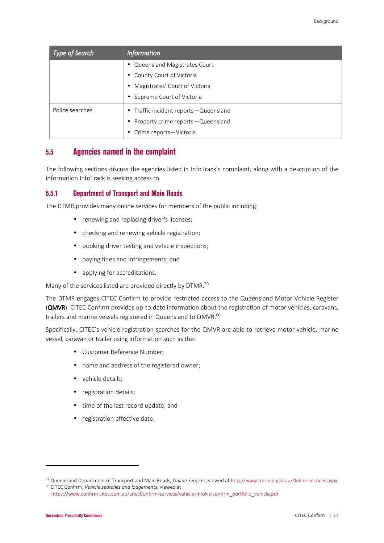| Type of Search  | <b>Information</b>                      |  |  |
|-----------------|-----------------------------------------|--|--|
|                 | • Queensland Magistrates Court          |  |  |
|                 | • County Court of Victoria              |  |  |
|                 | • Magistrates' Court of Victoria        |  |  |
|                 | • Supreme Court of Victoria             |  |  |
| Police searches | • Traffic incident reports — Queensland |  |  |
|                 | • Property crime reports — Queensland   |  |  |
|                 | • Crime reports-Victoria                |  |  |

### **5.5 Agencies named in the complaint**

The following sections discuss the agencies listed in InfoTrack's complaint, along with a description of the information InfoTrack is seeking access to.

### **5.5.1 Department of Transport and Main Roads**

The DTMR provides many online services for members of the public including:

- renewing and replacing driver's licenses;
- checking and renewing vehicle registration;
- booking driver testing and vehicle inspections;
- paying fines and infringements; and
- applying for accreditations.

Many of the services listed are provided directly by DTMR.<sup>59</sup>

The DTMR engages CITEC Confirm to provide restricted access to the Queensland Motor Vehicle Register (QMVR). CITEC Confirm provides up-to-date information about the registration of motor vehicles, caravans, trailers and marine vessels registered in Queensland to QMVR.<sup>60</sup>

Specifically, CITEC's vehicle registration searches for the QMVR are able to retrieve motor vehicle, marine vessel, caravan or trailer using information such as the:

- Customer Reference Number;
- name and address of the registered owner;
- vehicle details:
- registration details;
- time of the last record update; and
- registration effective date.

<sup>59</sup> Queensland Department of Transport and Main Roads, *Online Services*, viewed at http://www.tmr.qld.gov.au/Online-services.aspx <sup>60</sup> CITEC Confirm, *Vehicle searches and lodgements*, viewed at

https://www.confirm.citec.com.au/citecConfirm/services/vehicle/infokit/confirm\_portfolio\_vehicle.pdf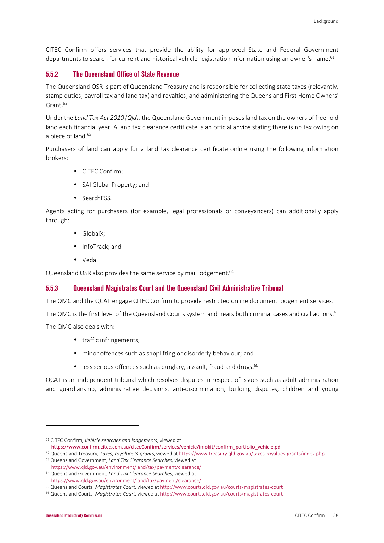CITEC Confirm offers services that provide the ability for approved State and Federal Government departments to search for current and historical vehicle registration information using an owner's name.<sup>61</sup>

#### **5.5.2 The Queensland Office of State Revenue**

The Queensland OSR is part of Queensland Treasury and is responsible for collecting state taxes (relevantly, stamp duties, payroll tax and land tax) and royalties, and administering the Queensland First Home Owners' Grant.<sup>62</sup>

Under the *Land Tax Act 2010 (Qld)*, the Queensland Government imposes land tax on the owners of freehold land each financial year. A land tax clearance certificate is an official advice stating there is no tax owing on a piece of land.<sup>63</sup>

Purchasers of land can apply for a land tax clearance certificate online using the following information brokers:

- CITEC Confirm;
- SAI Global Property; and
- SearchESS.

Agents acting for purchasers (for example, legal professionals or conveyancers) can additionally apply through:

- GlobalX;
- InfoTrack; and
- Veda.

Queensland OSR also provides the same service by mail lodgement.<sup>64</sup>

#### **5.5.3 Queensland Magistrates Court and the Queensland Civil Administrative Tribunal**

The QMC and the QCAT engage CITEC Confirm to provide restricted online document lodgement services.

The QMC is the first level of the Queensland Courts system and hears both criminal cases and civil actions.<sup>65</sup>

The QMC also deals with:

- traffic infringements;
- minor offences such as shoplifting or disorderly behaviour; and
- $\bullet$  less serious offences such as burglary, assault, fraud and drugs.<sup>66</sup>

QCAT is an independent tribunal which resolves disputes in respect of issues such as adult administration and guardianship, administrative decisions, anti-discrimination, building disputes, children and young

<sup>61</sup> CITEC Confirm, *Vehicle searches and lodgements*, viewed at https://www.confirm.citec.com.au/citecConfirm/services/vehicle/infokit/confirm\_portfolio\_vehicle.pdf

<sup>62</sup> Queensland Treasury, *Taxes, royalties & grants*, viewed at https://www.treasury.qld.gov.au/taxes-royalties-grants/index.php

<sup>63</sup> Queensland Government, *Land Tax Clearance Searches*, viewed at

https://www.qld.gov.au/environment/land/tax/payment/clearance/ <sup>64</sup> Queensland Government, *Land Tax Clearance Searches*, viewed at

https://www.qld.gov.au/environment/land/tax/payment/clearance/

<sup>65</sup> Queensland Courts, *Magistrates Court*, viewed at http://www.courts.qld.gov.au/courts/magistrates-court

<sup>66</sup> Queensland Courts, *Magistrates Court*, viewed at http://www.courts.qld.gov.au/courts/magistrates-court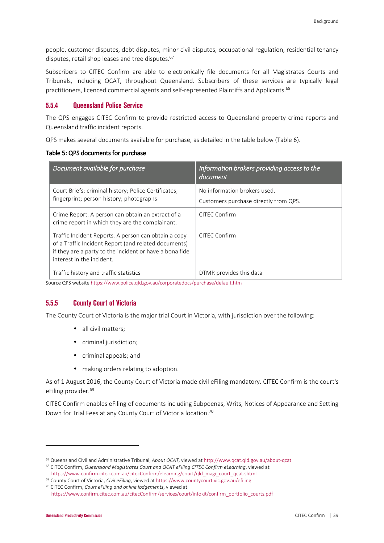people, customer disputes, debt disputes, minor civil disputes, occupational regulation, residential tenancy disputes, retail shop leases and tree disputes.<sup>67</sup>

Subscribers to CITEC Confirm are able to electronically file documents for all Magistrates Courts and Tribunals, including QCAT, throughout Queensland. Subscribers of these services are typically legal practitioners, licenced commercial agents and self-represented Plaintiffs and Applicants.<sup>68</sup>

#### **5.5.4 Queensland Police Service**

The QPS engages CITEC Confirm to provide restricted access to Queensland property crime reports and Queensland traffic incident reports.

QPS makes several documents available for purchase, as detailed in the table below (Table 6).

#### Table 5: QPS documents for purchase

| Document available for purchase                                                                                                                                                                      | Information brokers providing access to the<br>document               |
|------------------------------------------------------------------------------------------------------------------------------------------------------------------------------------------------------|-----------------------------------------------------------------------|
| Court Briefs; criminal history; Police Certificates;<br>fingerprint; person history; photographs                                                                                                     | No information brokers used.<br>Customers purchase directly from QPS. |
| Crime Report. A person can obtain an extract of a<br>crime report in which they are the complainant.                                                                                                 | CITEC Confirm                                                         |
| Traffic Incident Reports. A person can obtain a copy<br>of a Traffic Incident Report (and related documents)<br>if they are a party to the incident or have a bona fide<br>interest in the incident. | CITEC Confirm                                                         |
| Traffic history and traffic statistics                                                                                                                                                               | DTMR provides this data                                               |

Source QPS website https://www.police.qld.gov.au/corporatedocs/purchase/default.htm

### **5.5.5 County Court of Victoria**

The County Court of Victoria is the major trial Court in Victoria, with jurisdiction over the following:

- all civil matters;
- criminal jurisdiction;
- criminal appeals; and
- making orders relating to adoption.

As of 1 August 2016, the County Court of Victoria made civil eFiling mandatory. CITEC Confirm is the court's eFiling provider.<sup>69</sup>

CITEC Confirm enables eFiling of documents including Subpoenas, Writs, Notices of Appearance and Setting Down for Trial Fees at any County Court of Victoria location.<sup>70</sup>

<sup>67</sup> Queensland Civil and Administrative Tribunal, *About QCAT*, viewed at http://www.qcat.qld.gov.au/about-qcat

<sup>68</sup> CITEC Confirm, *Queensland Magistrates Court and QCAT eFiling CITEC Confirm eLearning*, viewed at https://www.confirm.citec.com.au/citecConfirm/elearning/court/qld\_magi\_court\_qcat.shtml

<sup>69</sup> County Court of Victoria, *Civil eFiling*, viewed at https://www.countycourt.vic.gov.au/efiling <sup>70</sup> CITEC Confirm, *Court eFiling and online lodgements*, viewed at

https://www.confirm.citec.com.au/citecConfirm/services/court/infokit/confirm\_portfolio\_courts.pdf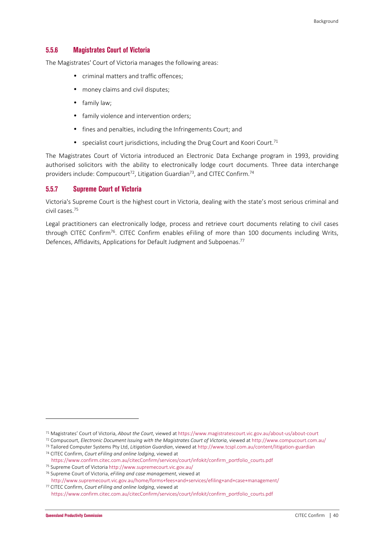#### **5.5.6 Magistrates Court of Victoria**

The Magistrates' Court of Victoria manages the following areas:

- criminal matters and traffic offences;
- money claims and civil disputes:
- family law;
- family violence and intervention orders;
- fines and penalties, including the Infringements Court; and
- specialist court jurisdictions, including the Drug Court and Koori Court.<sup>71</sup>

The Magistrates Court of Victoria introduced an Electronic Data Exchange program in 1993, providing authorised solicitors with the ability to electronically lodge court documents. Three data interchange providers include: Compucourt<sup>72</sup>, Litigation Guardian<sup>73</sup>, and CITEC Confirm.<sup>74</sup>

#### **5.5.7 Supreme Court of Victoria**

Victoria's Supreme Court is the highest court in Victoria, dealing with the state's most serious criminal and civil cases.<sup>75</sup>

Legal practitioners can electronically lodge, process and retrieve court documents relating to civil cases through CITEC Confirm<sup>76</sup>. CITEC Confirm enables eFiling of more than 100 documents including Writs, Defences, Affidavits, Applications for Default Judgment and Subpoenas.<sup>77</sup>

<sup>71</sup> Magistrates' Court of Victoria, *About the Court*, viewed at https://www.magistratescourt.vic.gov.au/about-us/about-court

<sup>72</sup> Compucourt, *Electronic Document Issuing with the Magistrates Court of Victoria*, viewed at http://www.compucourt.com.au/

<sup>73</sup> Tailored Computer Systems Pty Ltd, *Litigation Guardian*, viewed at http://www.tcspl.com.au/content/litigation-guardian <sup>74</sup> CITEC Confirm, *Court eFiling and online lodging*, viewed at

https://www.confirm.citec.com.au/citecConfirm/services/court/infokit/confirm\_portfolio\_courts.pdf

<sup>75</sup> Supreme Court of Victoria http://www.supremecourt.vic.gov.au/

<sup>76</sup> Supreme Court of Victoria, *eFiling and case management*, viewed at

http://www.supremecourt.vic.gov.au/home/forms+fees+and+services/efiling+and+case+management/ <sup>77</sup> CITEC Confirm, *Court eFiling and online lodging*, viewed at

https://www.confirm.citec.com.au/citecConfirm/services/court/infokit/confirm\_portfolio\_courts.pdf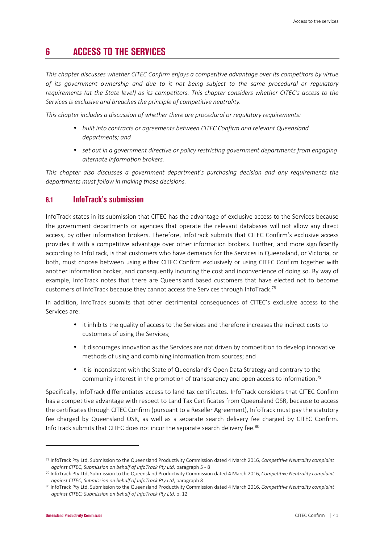## **6 ACCESS TO THE SERVICES**

*This chapter discusses whether CITEC Confirm enjoys a competitive advantage over its competitors by virtue of its government ownership and due to it not being subject to the same procedural or regulatory requirements (at the State level) as its competitors. This chapter considers whether CITEC's access to the Services is exclusive and breaches the principle of competitive neutrality.* 

*This chapter includes a discussion of whether there are procedural or regulatory requirements:* 

- *built into contracts or agreements between CITEC Confirm and relevant Queensland departments; and*
- *set out in a government directive or policy restricting government departments from engaging alternate information brokers.*

*This chapter also discusses a government department's purchasing decision and any requirements the departments must follow in making those decisions.* 

### **6.1 InfoTrack's submission**

InfoTrack states in its submission that CITEC has the advantage of exclusive access to the Services because the government departments or agencies that operate the relevant databases will not allow any direct access, by other information brokers. Therefore, InfoTrack submits that CITEC Confirm's exclusive access provides it with a competitive advantage over other information brokers. Further, and more significantly according to InfoTrack, is that customers who have demands for the Services in Queensland, or Victoria, or both, must choose between using either CITEC Confirm exclusively or using CITEC Confirm together with another information broker, and consequently incurring the cost and inconvenience of doing so. By way of example, InfoTrack notes that there are Queensland based customers that have elected not to become customers of InfoTrack because they cannot access the Services through InfoTrack.<sup>78</sup>

In addition, InfoTrack submits that other detrimental consequences of CITEC's exclusive access to the Services are:

- it inhibits the quality of access to the Services and therefore increases the indirect costs to customers of using the Services;
- it discourages innovation as the Services are not driven by competition to develop innovative methods of using and combining information from sources; and
- it is inconsistent with the State of Queensland's Open Data Strategy and contrary to the community interest in the promotion of transparency and open access to information.<sup>79</sup>

Specifically, InfoTrack differentiates access to land tax certificates. InfoTrack considers that CITEC Confirm has a competitive advantage with respect to Land Tax Certificates from Queensland OSR, because to access the certificates through CITEC Confirm (pursuant to a Reseller Agreement), InfoTrack must pay the statutory fee charged by Queensland OSR, as well as a separate search delivery fee charged by CITEC Confirm. InfoTrack submits that CITEC does not incur the separate search delivery fee.<sup>80</sup>

<sup>78</sup> InfoTrack Pty Ltd, Submission to the Queensland Productivity Commission dated 4 March 2016, *Competitive Neutrality complaint against CITEC, Submission on behalf of InfoTrack Pty Ltd*, paragraph 5 - 8

<sup>79</sup> InfoTrack Pty Ltd, Submission to the Queensland Productivity Commission dated 4 March 2016, *Competitive Neutrality complaint against CITEC, Submission on behalf of InfoTrack Pty Ltd*, paragraph 8

<sup>80</sup> InfoTrack Pty Ltd, Submission to the Queensland Productivity Commission dated 4 March 2016, *Competitive Neutrality complaint against CITEC: Submission on behalf of InfoTrack Pty Ltd*, p. 12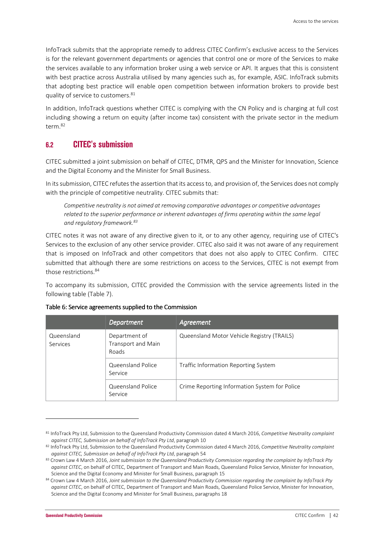InfoTrack submits that the appropriate remedy to address CITEC Confirm's exclusive access to the Services is for the relevant government departments or agencies that control one or more of the Services to make the services available to any information broker using a web service or API. It argues that this is consistent with best practice across Australia utilised by many agencies such as, for example, ASIC. InfoTrack submits that adopting best practice will enable open competition between information brokers to provide best quality of service to customers.<sup>81</sup>

In addition, InfoTrack questions whether CITEC is complying with the CN Policy and is charging at full cost including showing a return on equity (after income tax) consistent with the private sector in the medium term.<sup>82</sup>

## **6.2 CITEC's submission**

CITEC submitted a joint submission on behalf of CITEC, DTMR, QPS and the Minister for Innovation, Science and the Digital Economy and the Minister for Small Business.

In its submission, CITEC refutes the assertion that its access to, and provision of, the Services does not comply with the principle of competitive neutrality. CITEC submits that:

*Competitive neutrality is not aimed at removing comparative advantages or competitive advantages related to the superior performance or inherent advantages of firms operating within the same legal and regulatory framework.<sup>83</sup>*

CITEC notes it was not aware of any directive given to it, or to any other agency, requiring use of CITEC's Services to the exclusion of any other service provider. CITEC also said it was not aware of any requirement that is imposed on InfoTrack and other competitors that does not also apply to CITEC Confirm. CITEC submitted that although there are some restrictions on access to the Services, CITEC is not exempt from those restrictions.<sup>84</sup>

To accompany its submission, CITEC provided the Commission with the service agreements listed in the following table (Table 7).

|                        | Department                                   | Agreement                                     |
|------------------------|----------------------------------------------|-----------------------------------------------|
| Queensland<br>Services | Department of<br>Transport and Main<br>Roads | Queensland Motor Vehicle Registry (TRAILS)    |
|                        | Queensland Police<br>Service                 | Traffic Information Reporting System          |
|                        | Queensland Police<br>Service                 | Crime Reporting Information System for Police |

#### Table 6: Service agreements supplied to the Commission

<sup>81</sup> InfoTrack Pty Ltd, Submission to the Queensland Productivity Commission dated 4 March 2016, *Competitive Neutrality complaint against CITEC, Submission on behalf of InfoTrack Pty Ltd*, paragraph 10

<sup>82</sup> InfoTrack Pty Ltd, Submission to the Queensland Productivity Commission dated 4 March 2016, *Competitive Neutrality complaint against CITEC, Submission on behalf of InfoTrack Pty Ltd*, paragraph 54

<sup>83</sup> Crown Law 4 March 2016, *Joint submission to the Queensland Productivity Commission regarding the complaint by InfoTrack Pty against CITEC*, on behalf of CITEC, Department of Transport and Main Roads, Queensland Police Service, Minister for Innovation, Science and the Digital Economy and Minister for Small Business, paragraph 15

<sup>84</sup> Crown Law 4 March 2016, *Joint submission to the Queensland Productivity Commission regarding the complaint by InfoTrack Pty against CITEC*, on behalf of CITEC, Department of Transport and Main Roads, Queensland Police Service, Minister for Innovation, Science and the Digital Economy and Minister for Small Business, paragraphs 18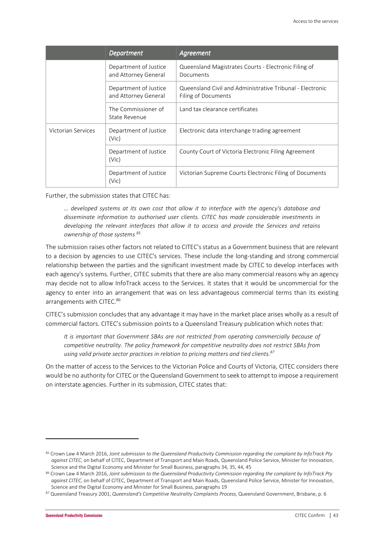|                    | <b>Department</b>                             | Agreement                                                                        |
|--------------------|-----------------------------------------------|----------------------------------------------------------------------------------|
|                    | Department of Justice<br>and Attorney General | Queensland Magistrates Courts - Electronic Filing of<br>Documents                |
|                    | Department of Justice<br>and Attorney General | Queensland Civil and Administrative Tribunal - Electronic<br>Filing of Documents |
|                    | The Commissioner of<br>State Revenue          | Land tax clearance certificates                                                  |
| Victorian Services | Department of Justice<br>(Vic)                | Electronic data interchange trading agreement                                    |
|                    | Department of Justice<br>(Vic)                | County Court of Victoria Electronic Filing Agreement                             |
|                    | Department of Justice<br>(Vic)                | Victorian Supreme Courts Electronic Filing of Documents                          |

Further, the submission states that CITEC has:

*… developed systems at its own cost that allow it to interface with the agency's database and disseminate information to authorised user clients. CITEC has made considerable investments in developing the relevant interfaces that allow it to access and provide the Services and retains ownership of those systems <sup>85</sup>*

The submission raises other factors not related to CITEC's status as a Government business that are relevant to a decision by agencies to use CITEC's services. These include the long-standing and strong commercial relationship between the parties and the significant investment made by CITEC to develop interfaces with each agency's systems. Further, CITEC submits that there are also many commercial reasons why an agency may decide not to allow InfoTrack access to the Services. It states that it would be uncommercial for the agency to enter into an arrangement that was on less advantageous commercial terms than its existing arrangements with CITEC.<sup>86</sup>

CITEC's submission concludes that any advantage it may have in the market place arises wholly as a result of commercial factors. CITEC's submission points to a Queensland Treasury publication which notes that:

*It is important that Government SBAs are not restricted from operating commercially because of competitive neutrality. The policy framework for competitive neutrality does not restrict SBAs from using valid private sector practices in relation to pricing matters and tied clients.<sup>87</sup>*

On the matter of access to the Services to the Victorian Police and Courts of Victoria, CITEC considers there would be no authority for CITEC or the Queensland Government to seek to attempt to impose a requirement on interstate agencies. Further in its submission, CITEC states that:

 $\overline{\phantom{0}}$ 

<sup>85</sup> Crown Law 4 March 2016, *Joint submission to the Queensland Productivity Commission regarding the complaint by InfoTrack Pty against CITEC*, on behalf of CITEC, Department of Transport and Main Roads, Queensland Police Service, Minister for Innovation, Science and the Digital Economy and Minister for Small Business, paragraphs 34, 35, 44, 45

<sup>86</sup> Crown Law 4 March 2016, *Joint submission to the Queensland Productivity Commission regarding the complaint by InfoTrack Pty against CITEC*, on behalf of CITEC, Department of Transport and Main Roads, Queensland Police Service, Minister for Innovation, Science and the Digital Economy and Minister for Small Business, paragraphs 19

<sup>87</sup> Queensland Treasury 2001, *Queensland's Competitive Neutrality Complaints Process*, Queensland Government, Brisbane, p. 6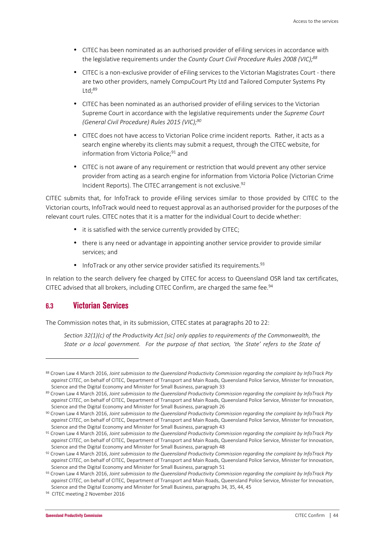- CITEC has been nominated as an authorised provider of eFiling services in accordance with the legislative requirements under the *County Court Civil Procedure Rules 2008 (VIC);<sup>88</sup>*
- CITEC is a non-exclusive provider of eFiling services to the Victorian Magistrates Court there are two other providers, namely CompuCourt Pty Ltd and Tailored Computer Systems Pty  $Itd: <sup>89</sup>$
- CITEC has been nominated as an authorised provider of eFiling services to the Victorian Supreme Court in accordance with the legislative requirements under the *Supreme Court (General Civil Procedure) Rules 2015 (VIC);<sup>90</sup>*
- CITEC does not have access to Victorian Police crime incident reports. Rather, it acts as a search engine whereby its clients may submit a request, through the CITEC website, for information from Victoria Police;<sup>91</sup> and
- CITEC is not aware of any requirement or restriction that would prevent any other service provider from acting as a search engine for information from Victoria Police (Victorian Crime Incident Reports). The CITEC arrangement is not exclusive.<sup>92</sup>

CITEC submits that, for InfoTrack to provide eFiling services similar to those provided by CITEC to the Victorian courts, InfoTrack would need to request approval as an authorised provider for the purposes of the relevant court rules. CITEC notes that it is a matter for the individual Court to decide whether:

- it is satisfied with the service currently provided by CITEC;
- there is any need or advantage in appointing another service provider to provide similar services; and
- InfoTrack or any other service provider satisfied its requirements.  $93$

In relation to the search delivery fee charged by CITEC for access to Queensland OSR land tax certificates, CITEC advised that all brokers, including CITEC Confirm, are charged the same fee.<sup>94</sup>

## **6.3 Victorian Services**

l

The Commission notes that, in its submission, CITEC states at paragraphs 20 to 22:

*Section 32(1)(c) of the Productivity Act [sic] only applies to requirements of the Commonwealth, the State or a local government. For the purpose of that section, 'the State' refers to the State of* 

<sup>88</sup> Crown Law 4 March 2016, *Joint submission to the Queensland Productivity Commission regarding the complaint by InfoTrack Pty against CITEC*, on behalf of CITEC, Department of Transport and Main Roads, Queensland Police Service, Minister for Innovation, Science and the Digital Economy and Minister for Small Business, paragraph 33

<sup>89</sup> Crown Law 4 March 2016, Joint submission to the Queensland Productivity Commission regarding the complaint by InfoTrack Pty *against CITEC*, on behalf of CITEC, Department of Transport and Main Roads, Queensland Police Service, Minister for Innovation, Science and the Digital Economy and Minister for Small Business, paragraph 26

<sup>90</sup> Crown Law 4 March 2016, *Joint submission to the Queensland Productivity Commission regarding the complaint by InfoTrack Pty against CITEC*, on behalf of CITEC, Department of Transport and Main Roads, Queensland Police Service, Minister for Innovation, Science and the Digital Economy and Minister for Small Business, paragraph 43

<sup>91</sup> Crown Law 4 March 2016, *Joint submission to the Queensland Productivity Commission regarding the complaint by InfoTrack Pty against CITEC*, on behalf of CITEC, Department of Transport and Main Roads, Queensland Police Service, Minister for Innovation, Science and the Digital Economy and Minister for Small Business, paragraph 48

<sup>92</sup> Crown Law 4 March 2016, *Joint submission to the Queensland Productivity Commission regarding the complaint by InfoTrack Pty against CITEC*, on behalf of CITEC, Department of Transport and Main Roads, Queensland Police Service, Minister for Innovation, Science and the Digital Economy and Minister for Small Business, paragraph 51

<sup>93</sup> Crown Law 4 March 2016, *Joint submission to the Queensland Productivity Commission regarding the complaint by InfoTrack Pty against CITEC*, on behalf of CITEC, Department of Transport and Main Roads, Queensland Police Service, Minister for Innovation, Science and the Digital Economy and Minister for Small Business, paragraphs 34, 35, 44, 45

<sup>94</sup> CITEC meeting 2 November 2016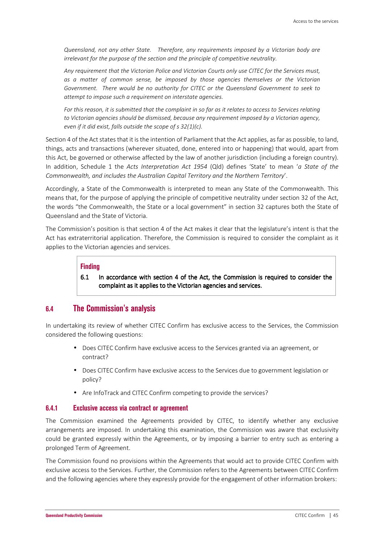*Queensland, not any other State. Therefore, any requirements imposed by a Victorian body are irrelevant for the purpose of the section and the principle of competitive neutrality.* 

*Any requirement that the Victorian Police and Victorian Courts only use CITEC for the Services must, as a matter of common sense, be imposed by those agencies themselves or the Victorian Government. There would be no authority for CITEC or the Queensland Government to seek to attempt to impose such a requirement on interstate agencies.* 

*For this reason, it is submitted that the complaint in so far as it relates to access to Services relating to Victorian agencies should be dismissed, because any requirement imposed by a Victorian agency, even if it did exist, falls outside the scope of s 32(1)(c).* 

Section 4 of the Act states that it is the intention of Parliament that the Act applies, as far as possible, to land, things, acts and transactions (wherever situated, done, entered into or happening) that would, apart from this Act, be governed or otherwise affected by the law of another jurisdiction (including a foreign country). In addition, Schedule 1 the *Acts Interpretation Act 1954* (Qld) defines 'State' to mean '*a State of the Commonwealth, and includes the Australian Capital Territory and the Northern Territory*'.

Accordingly, a State of the Commonwealth is interpreted to mean any State of the Commonwealth. This means that, for the purpose of applying the principle of competitive neutrality under section 32 of the Act, the words "the Commonwealth, the State or a local government" in section 32 captures both the State of Queensland and the State of Victoria.

The Commission's position is that section 4 of the Act makes it clear that the legislature's intent is that the Act has extraterritorial application. Therefore, the Commission is required to consider the complaint as it applies to the Victorian agencies and services.

#### **Finding**

6.1 In accordance with section 4 of the Act, the Commission is required to consider the complaint as it applies to the Victorian agencies and services.

### **6.4 The Commission's analysis**

In undertaking its review of whether CITEC Confirm has exclusive access to the Services, the Commission considered the following questions:

- Does CITEC Confirm have exclusive access to the Services granted via an agreement, or contract?
- Does CITEC Confirm have exclusive access to the Services due to government legislation or policy?
- Are InfoTrack and CITEC Confirm competing to provide the services?

#### **6.4.1 Exclusive access via contract or agreement**

The Commission examined the Agreements provided by CITEC, to identify whether any exclusive arrangements are imposed. In undertaking this examination, the Commission was aware that exclusivity could be granted expressly within the Agreements, or by imposing a barrier to entry such as entering a prolonged Term of Agreement.

The Commission found no provisions within the Agreements that would act to provide CITEC Confirm with exclusive access to the Services. Further, the Commission refers to the Agreements between CITEC Confirm and the following agencies where they expressly provide for the engagement of other information brokers: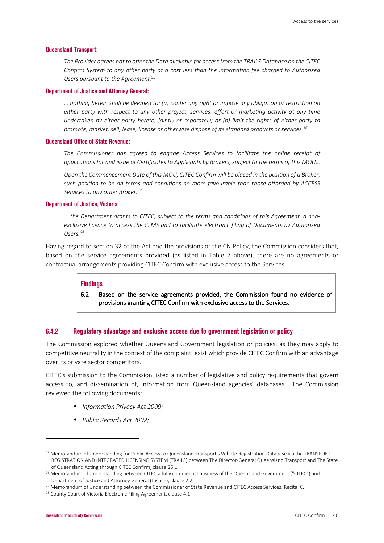#### **Queensland Transport:**

*The Provider agrees not to offer the Data available for access from the TRAILS Database on the CITEC Confirm System to any other party at a cost less than the information fee charged to Authorised Users pursuant to the Agreement.<sup>95</sup>*

#### **Department of Justice and Attorney General:**

*… nothing herein shall be deemed to: (a) confer any right or impose any obligation or restriction on either party with respect to any other project, services, effort or marketing activity at any time undertaken by either party hereto, jointly or separately; or (b) limit the rights of either party to promote, market, sell, lease, license or otherwise dispose of its standard products or services.<sup>96</sup>*

#### **Queensland Office of State Revenue:**

*The Commissioner has agreed to engage Access Services to facilitate the online receipt of applications for and issue of Certificates to Applicants by Brokers, subject to the terms of this MOU…*

*Upon the Commencement Date of this MOU, CITEC Confirm will be placed in the position of a Broker, such position to be on terms and conditions no more favourable than those afforded by ACCESS Services to any other Broker.<sup>97</sup>*

#### **Department of Justice, Victoria**

*… the Department grants to CITEC, subject to the terms and conditions of this Agreement, a nonexclusive licence to access the CLMS and to facilitate electronic filing of Documents by Authorised Users.<sup>98</sup>*

Having regard to section 32 of the Act and the provisions of the CN Policy, the Commission considers that, based on the service agreements provided (as listed in Table 7 above), there are no agreements or contractual arrangements providing CITEC Confirm with exclusive access to the Services.

#### **Findings**

6.2 Based on the service agreements provided, the Commission found no evidence of provisions granting CITEC Confirm with exclusive access to the Services.

#### **6.4.2 Regulatory advantage and exclusive access due to government legislation or policy**

The Commission explored whether Queensland Government legislation or policies, as they may apply to competitive neutrality in the context of the complaint, exist which provide CITEC Confirm with an advantage over its private sector competitors.

CITEC's submission to the Commission listed a number of legislative and policy requirements that govern access to, and dissemination of, information from Queensland agencies' databases. The Commission reviewed the following documents:

- *Information Privacy Act 2009;*
- *Public Records Act 2002;*

 $\overline{\phantom{0}}$ 

<sup>95</sup> Memorandum of Understanding for Public Access to Queensland Transport's Vehicle Registration Database via the TRANSPORT REGISTRATION AND INTEGRATED LICENSING SYSTEM (TRAILS) between The Director-General Queensland Transport and The State of Queensland Acting through CITEC Confirm, clause 25.1

<sup>96</sup> Memorandum of Understanding between CITEC a fully commercial business of the Queensland Government ("CITEC") and Department of Justice and Attorney General (Justice), clause 2.2

<sup>97</sup> Memorandum of Understanding between the Commissioner of State Revenue and CITEC Access Services, Recital C.

<sup>98</sup> County Court of Victoria Electronic Filing Agreement, clause 4.1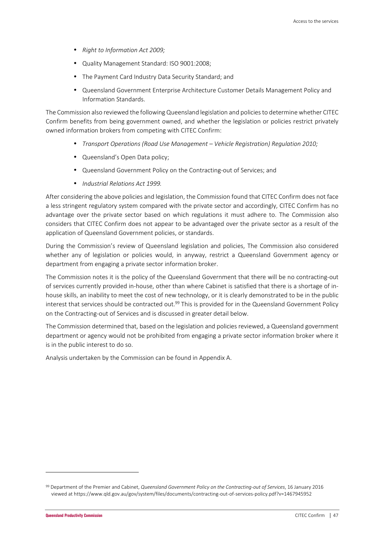- *Right to Information Act 2009;*
- Quality Management Standard: ISO 9001:2008;
- The Payment Card Industry Data Security Standard; and
- Queensland Government Enterprise Architecture Customer Details Management Policy and Information Standards.

The Commission also reviewed the following Queensland legislation and policies to determine whether CITEC Confirm benefits from being government owned, and whether the legislation or policies restrict privately owned information brokers from competing with CITEC Confirm:

- *Transport Operations (Road Use Management Vehicle Registration) Regulation 2010;*
- Queensland's Open Data policy;
- Queensland Government Policy on the Contracting-out of Services; and
- *Industrial Relations Act 1999.*

After considering the above policies and legislation, the Commission found that CITEC Confirm does not face a less stringent regulatory system compared with the private sector and accordingly, CITEC Confirm has no advantage over the private sector based on which regulations it must adhere to. The Commission also considers that CITEC Confirm does not appear to be advantaged over the private sector as a result of the application of Queensland Government policies, or standards.

During the Commission's review of Queensland legislation and policies, The Commission also considered whether any of legislation or policies would, in anyway, restrict a Queensland Government agency or department from engaging a private sector information broker.

The Commission notes it is the policy of the Queensland Government that there will be no contracting-out of services currently provided in-house, other than where Cabinet is satisfied that there is a shortage of inhouse skills, an inability to meet the cost of new technology, or it is clearly demonstrated to be in the public interest that services should be contracted out.<sup>99</sup> This is provided for in the Queensland Government Policy on the Contracting-out of Services and is discussed in greater detail below.

The Commission determined that, based on the legislation and policies reviewed, a Queensland government department or agency would not be prohibited from engaging a private sector information broker where it is in the public interest to do so.

Analysis undertaken by the Commission can be found in Appendix A.

<sup>99</sup> Department of the Premier and Cabinet, *Queensland Government Policy on the Contracting-out of Services*, 16 January 2016 viewed at https://www.qld.gov.au/gov/system/files/documents/contracting-out-of-services-policy.pdf?v=1467945952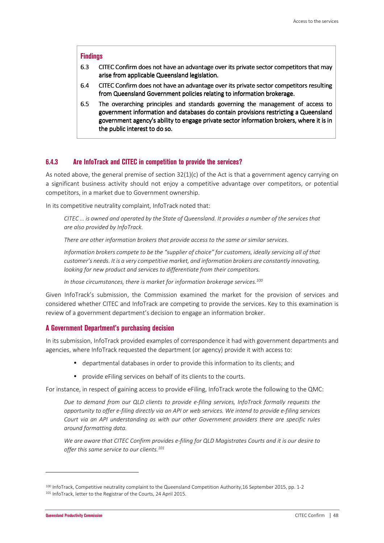#### **Findings**

- 6.3 CITEC Confirm does not have an advantage over its private sector competitors that may arise from applicable Queensland legislation.
- 6.4 CITEC Confirm does not have an advantage over its private sector competitors resulting from Queensland Government policies relating to information brokerage.
- 6.5 The overarching principles and standards governing the management of access to government information and databases do contain provisions restricting a Queensland government agency's ability to engage private sector information brokers, where it is in the public interest to do so.

#### **6.4.3 Are InfoTrack and CITEC in competition to provide the services?**

As noted above, the general premise of section 32(1)(c) of the Act is that a government agency carrying on a significant business activity should not enjoy a competitive advantage over competitors, or potential competitors, in a market due to Government ownership.

In its competitive neutrality complaint, InfoTrack noted that:

*CITEC … is owned and operated by the State of Queensland. It provides a number of the services that are also provided by InfoTrack.* 

*There are other information brokers that provide access to the same or similar services.* 

*Information brokers compete to be the "supplier of choice" for customers, ideally servicing all of that customer's needs. It is a very competitive market, and information brokers are constantly innovating, looking for new product and services to differentiate from their competitors.* 

*In those circumstances, there is market for information brokerage services.<sup>100</sup>*

Given InfoTrack's submission, the Commission examined the market for the provision of services and considered whether CITEC and InfoTrack are competing to provide the services. Key to this examination is review of a government department's decision to engage an information broker.

#### **A Government Department's purchasing decision**

In its submission, InfoTrack provided examples of correspondence it had with government departments and agencies, where InfoTrack requested the department (or agency) provide it with access to:

- departmental databases in order to provide this information to its clients; and
- provide eFiling services on behalf of its clients to the courts.

For instance, in respect of gaining access to provide eFiling, InfoTrack wrote the following to the QMC:

*Due to demand from our QLD clients to provide e-filing services, InfoTrack formally requests the opportunity to offer e-filing directly via an API or web services. We intend to provide e-filing services Court via an API understanding as with our other Government providers there are specific rules around formatting data.* 

*We are aware that CITEC Confirm provides e-filing for QLD Magistrates Courts and it is our desire to offer this same service to our clients.<sup>101</sup>*

<sup>100</sup> InfoTrack, Competitive neutrality complaint to the Queensland Competition Authority,16 September 2015, pp. 1-2 101 InfoTrack, letter to the Registrar of the Courts, 24 April 2015.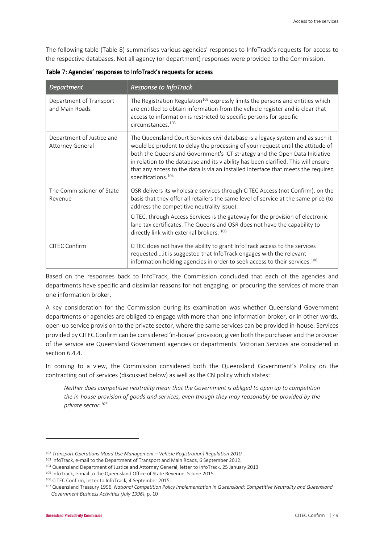The following table (Table 8) summarises various agencies' responses to InfoTrack's requests for access to the respective databases. Not all agency (or department) responses were provided to the Commission.

| Department                                           | <b>Response to InfoTrack</b>                                                                                                                                                                                                                                                                                                                                                                                                                                |
|------------------------------------------------------|-------------------------------------------------------------------------------------------------------------------------------------------------------------------------------------------------------------------------------------------------------------------------------------------------------------------------------------------------------------------------------------------------------------------------------------------------------------|
| Department of Transport<br>and Main Roads            | The Registration Regulation <sup>102</sup> expressly limits the persons and entities which<br>are entitled to obtain information from the vehicle register and is clear that<br>access to information is restricted to specific persons for specific<br>circumstances. <sup>103</sup>                                                                                                                                                                       |
| Department of Justice and<br><b>Attorney General</b> | The Queensland Court Services civil database is a legacy system and as such it<br>would be prudent to delay the processing of your request until the attitude of<br>both the Queensland Government's ICT strategy and the Open Data Initiative<br>in relation to the database and its viability has been clarified. This will ensure<br>that any access to the data is via an installed interface that meets the required<br>specifications. <sup>104</sup> |
| The Commissioner of State<br>Revenue                 | OSR delivers its wholesale services through CITEC Access (not Confirm), on the<br>basis that they offer all retailers the same level of service at the same price (to<br>address the competitive neutrality issue).                                                                                                                                                                                                                                         |
|                                                      | CITEC, through Access Services is the gateway for the provision of electronic<br>land tax certificates. The Queensland OSR does not have the capability to<br>directly link with external brokers. 105                                                                                                                                                                                                                                                      |
| <b>CITEC Confirm</b>                                 | CITEC does not have the ability to grant InfoTrack access to the services<br>requestedit is suggested that InfoTrack engages with the relevant<br>information holding agencies in order to seek access to their services. <sup>106</sup>                                                                                                                                                                                                                    |

Table 7: Agencies' responses to InfoTrack's requests for access

Based on the responses back to InfoTrack, the Commission concluded that each of the agencies and departments have specific and dissimilar reasons for not engaging, or procuring the services of more than one information broker.

A key consideration for the Commission during its examination was whether Queensland Government departments or agencies are obliged to engage with more than one information broker, or in other words, open-up service provision to the private sector, where the same services can be provided in-house. Services provided by CITEC Confirm can be considered 'in-house' provision, given both the purchaser and the provider of the service are Queensland Government agencies or departments. Victorian Services are considered in section 6.4.4.

In coming to a view, the Commission considered both the Queensland Government's Policy on the contracting out of services (discussed below) as well as the CN policy which states:

*Neither does competitive neutrality mean that the Government is obliged to open up to competition the in-house provision of goods and services, even though they may reasonably be provided by the private sector.<sup>107</sup>*

 $\overline{\phantom{0}}$ 

<sup>102</sup> *Transport Operations (Road Use Management – Vehicle Registration) Regulation 2010*

<sup>103</sup> InfoTrack, e-mail to the Department of Transport and Main Roads, 6 September 2012.

<sup>104</sup> Queensland Department of Justice and Attorney General, letter to InfoTrack, 25 January 2013

<sup>105</sup> InfoTrack, e-mail to the Queensland Office of State Revenue, 5 June 2015.

<sup>106</sup> CITEC Confirm, letter to InfoTrack, 4 September 2015.

<sup>107</sup> Queensland Treasury 1996, *National Competition Policy Implementation in Queensland: Competitive Neutrality and Queensland Government Business Activities (July 1996)*, p. 10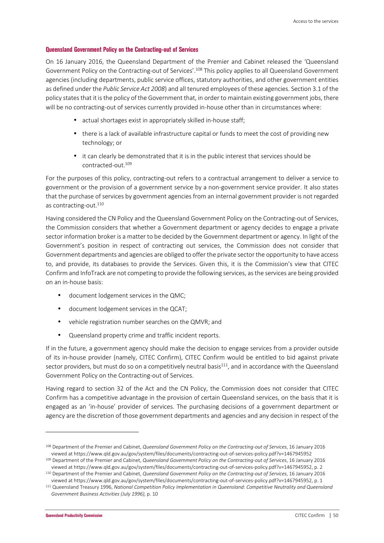#### **Queensland Government Policy on the Contracting-out of Services**

On 16 January 2016, the Queensland Department of the Premier and Cabinet released the 'Queensland Government Policy on the Contracting-out of Services'.<sup>108</sup> This policy applies to all Queensland Government agencies (including departments, public service offices, statutory authorities, and other government entities as defined under the *Public Service Act 2008*) and all tenured employees of these agencies. Section 3.1 of the policy states that it is the policy of the Government that, in order to maintain existing government jobs, there will be no contracting-out of services currently provided in-house other than in circumstances where:

- actual shortages exist in appropriately skilled in-house staff;
- there is a lack of available infrastructure capital or funds to meet the cost of providing new technology; or
- it can clearly be demonstrated that it is in the public interest that services should be contracted-out.<sup>109</sup>

For the purposes of this policy, contracting-out refers to a contractual arrangement to deliver a service to government or the provision of a government service by a non-government service provider. It also states that the purchase of services by government agencies from an internal government provider is not regarded as contracting-out.<sup>110</sup>

Having considered the CN Policy and the Queensland Government Policy on the Contracting-out of Services, the Commission considers that whether a Government department or agency decides to engage a private sector information broker is a matter to be decided by the Government department or agency. In light of the Government's position in respect of contracting out services, the Commission does not consider that Government departments and agencies are obliged to offer the private sector the opportunity to have access to, and provide, its databases to provide the Services. Given this, it is the Commission's view that CITEC Confirm and InfoTrack are not competing to provide the following services, as the services are being provided on an in-house basis:

- document lodgement services in the QMC;
- document lodgement services in the QCAT;
- vehicle registration number searches on the QMVR; and
- Queensland property crime and traffic incident reports.

If in the future, a government agency should make the decision to engage services from a provider outside of its in-house provider (namely, CITEC Confirm), CITEC Confirm would be entitled to bid against private sector providers, but must do so on a competitively neutral basis $111$ , and in accordance with the Queensland Government Policy on the Contracting-out of Services.

Having regard to section 32 of the Act and the CN Policy, the Commission does not consider that CITEC Confirm has a competitive advantage in the provision of certain Queensland services, on the basis that it is engaged as an 'in-house' provider of services. The purchasing decisions of a government department or agency are the discretion of those government departments and agencies and any decision in respect of the

<sup>108</sup> Department of the Premier and Cabinet, *Queensland Government Policy on the Contracting-out of Services*, 16 January 2016 viewed at https://www.qld.gov.au/gov/system/files/documents/contracting-out-of-services-policy.pdf?v=1467945952

<sup>109</sup> Department of the Premier and Cabinet, *Queensland Government Policy on the Contracting-out of Services*, 16 January 2016 viewed at https://www.qld.gov.au/gov/system/files/documents/contracting-out-of-services-policy.pdf?v=1467945952, p. 2

<sup>110</sup> Department of the Premier and Cabinet, *Queensland Government Policy on the Contracting-out of Services*, 16 January 2016 viewed at https://www.qld.gov.au/gov/system/files/documents/contracting-out-of-services-policy.pdf?v=1467945952, p. 1

<sup>111</sup> Queensland Treasury 1996, *National Competition Policy Implementation in Queensland: Competitive Neutrality and Queensland Government Business Activities (July 1996)*, p. 10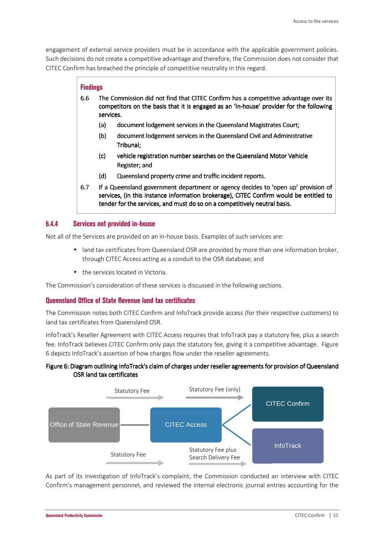engagement of external service providers must be in accordance with the applicable government policies. Such decisions do not create a competitive advantage and therefore, the Commission does not consider that CITEC Confirm has breached the principle of competitive neutrality in this regard.

#### **Findings**

- 6.6 The Commission did not find that CITEC Confirm has a competitive advantage over its competitors on the basis that it is engaged as an 'in-house' provider for the following services.
	- (a) document lodgement services in the Queensland Magistrates Court;
	- (b) document lodgement services in the Queensland Civil and Administrative Tribunal:
	- (c) vehicle registration number searches on the Queensland Motor Vehicle Register; and
	- (d) Queensland property crime and traffic incident reports.
- 6.7 If a Queensland government department or agency decides to 'open up' provision of services, (in this instance information brokerage), CITEC Confirm would be entitled to tender for the services, and must do so on a competitively neutral basis.

### **6.4.4 Services not provided in-house**

Not all of the Services are provided on an in-house basis. Examples of such services are:

- land tax certificates from Queensland OSR are provided by more than one information broker, through CITEC Access acting as a conduit to the OSR database; and
- the services located in Victoria.

The Commission's consideration of these services is discussed in the following sections.

### **Queensland Office of State Revenue land tax certificates**

The Commission notes both CITEC Confirm and InfoTrack provide access (for their respective customers) to land tax certificates from Queensland OSR.

InfoTrack's Reseller Agreement with CITEC Access requires that InfoTrack pay a statutory fee, plus a search fee. InfoTrack believes CITEC Confirm only pays the statutory fee, giving it a competitive advantage. Figure 6 depicts InfoTrack's assertion of how charges flow under the reseller agreements.

#### Figure 6: Diagram outlining InfoTrack's claim of charges under reseller agreements for provision of Queensland OSR land tax certificates



As part of its investigation of InfoTrack's complaint, the Commission conducted an interview with CITEC Confirm's management personnel, and reviewed the internal electronic journal entries accounting for the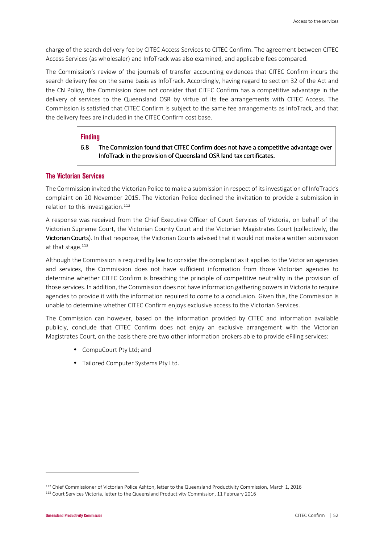charge of the search delivery fee by CITEC Access Services to CITEC Confirm. The agreement between CITEC Access Services (as wholesaler) and InfoTrack was also examined, and applicable fees compared.

The Commission's review of the journals of transfer accounting evidences that CITEC Confirm incurs the search delivery fee on the same basis as InfoTrack. Accordingly, having regard to section 32 of the Act and the CN Policy, the Commission does not consider that CITEC Confirm has a competitive advantage in the delivery of services to the Queensland OSR by virtue of its fee arrangements with CITEC Access. The Commission is satisfied that CITEC Confirm is subject to the same fee arrangements as InfoTrack, and that the delivery fees are included in the CITEC Confirm cost base.

#### **Finding**

#### 6.8 The Commission found that CITEC Confirm does not have a competitive advantage over InfoTrack in the provision of Queensland OSR land tax certificates.

### **The Victorian Services**

The Commission invited the Victorian Police to make a submission in respect of its investigation of InfoTrack's complaint on 20 November 2015. The Victorian Police declined the invitation to provide a submission in relation to this investigation. $112$ 

A response was received from the Chief Executive Officer of Court Services of Victoria, on behalf of the Victorian Supreme Court, the Victorian County Court and the Victorian Magistrates Court (collectively, the Victorian Courts). In that response, the Victorian Courts advised that it would not make a written submission at that stage.<sup>113</sup>

Although the Commission is required by law to consider the complaint as it applies to the Victorian agencies and services, the Commission does not have sufficient information from those Victorian agencies to determine whether CITEC Confirm is breaching the principle of competitive neutrality in the provision of those services. In addition, the Commission does not have information gathering powers in Victoria to require agencies to provide it with the information required to come to a conclusion. Given this, the Commission is unable to determine whether CITEC Confirm enjoys exclusive access to the Victorian Services.

The Commission can however, based on the information provided by CITEC and information available publicly, conclude that CITEC Confirm does not enjoy an exclusive arrangement with the Victorian Magistrates Court, on the basis there are two other information brokers able to provide eFiling services:

- CompuCourt Pty Ltd; and
- Tailored Computer Systems Pty Ltd.

<sup>112</sup> Chief Commissioner of Victorian Police Ashton, letter to the Queensland Productivity Commission, March 1, 2016

<sup>113</sup> Court Services Victoria, letter to the Queensland Productivity Commission, 11 February 2016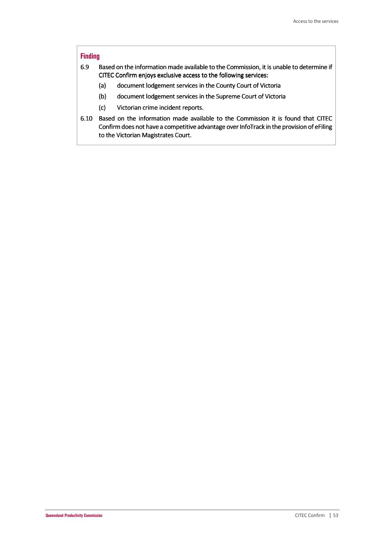#### **Finding**

- 6.9 Based on the information made available to the Commission, it is unable to determine if CITEC Confirm enjoys exclusive access to the following services:
	- (a) document lodgement services in the County Court of Victoria
	- (b) document lodgement services in the Supreme Court of Victoria
	- (c) Victorian crime incident reports.
- 6.10 Based on the information made available to the Commission it is found that CITEC Confirm does not have a competitive advantage over InfoTrack in the provision of eFiling to the Victorian Magistrates Court.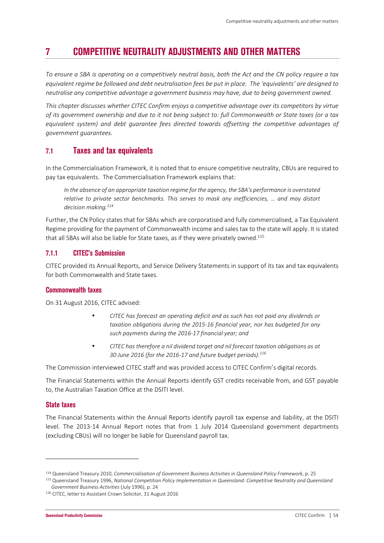# **7 COMPETITIVE NEUTRALITY ADJUSTMENTS AND OTHER MATTERS**

*To ensure a SBA is operating on a competitively neutral basis, both the Act and the CN policy require a tax equivalent regime be followed and debt neutralisation fees be put in place. The 'equivalents' are designed to neutralise any competitive advantage a government business may have, due to being government owned.* 

*This chapter discusses whether CITEC Confirm enjoys a competitive advantage over its competitors by virtue of its government ownership and due to it not being subject to: full Commonwealth or State taxes (or a tax equivalent system) and debt guarantee fees directed towards offsetting the competitive advantages of government guarantees.* 

## **7.1 Taxes and tax equivalents**

In the Commercialisation Framework, it is noted that to ensure competitive neutrality, CBUs are required to pay tax equivalents. The Commercialisation Framework explains that:

*In the absence of an appropriate taxation regime for the agency, the SBA's performance is overstated relative to private sector benchmarks. This serves to mask any inefficiencies, … and may distort decision making.<sup>114</sup>*

Further, the CN Policy states that for SBAs which are corporatised and fully commercialised, a Tax Equivalent Regime providing for the payment of Commonwealth income and sales tax to the state will apply. It is stated that all SBAs will also be liable for State taxes, as if they were privately owned.<sup>115</sup>

### **7.1.1 CITEC's Submission**

CITEC provided its Annual Reports, and Service Delivery Statements in support of its tax and tax equivalents for both Commonwealth and State taxes.

#### **Commonwealth taxes**

On 31 August 2016, CITEC advised:

- *CITEC has forecast an operating deficit and as such has not paid any dividends or taxation obligations during the 2015-16 financial year, nor has budgeted for any such payments during the 2016-17 financial year; and*
- *CITEC has therefore a nil dividend target and nil forecast taxation obligations as at 30 June 2016 (for the 2016-17 and future budget periods).<sup>116</sup>*

The Commission interviewed CITEC staff and was provided access to CITEC Confirm's digital records.

The Financial Statements within the Annual Reports identify GST credits receivable from, and GST payable to, the Australian Taxation Office at the DSITI level.

#### **State taxes**

l

The Financial Statements within the Annual Reports identify payroll tax expense and liability, at the DSITI level. The 2013-14 Annual Report notes that from 1 July 2014 Queensland government departments (excluding CBUs) will no longer be liable for Queensland payroll tax.

<sup>114</sup> Queensland Treasury 2010, *Commercialisation of Government Business Activities in Queensland Policy Framework*, p. 25

<sup>115</sup> Queensland Treasury 1996, *National Competition Policy Implementation in Queensland: Competitive Neutrality and Queensland Government Business Activities* (July 1996), p. 24

<sup>116</sup> CITEC, letter to Assistant Crown Solicitor, 31 August 2016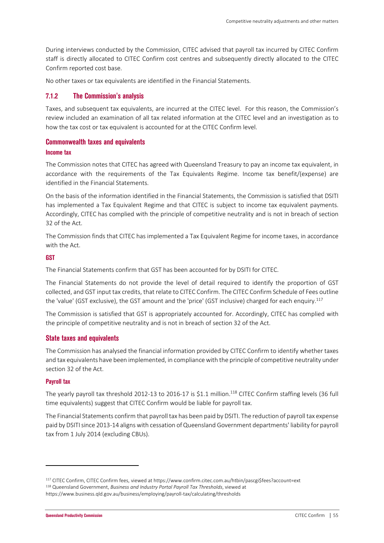During interviews conducted by the Commission, CITEC advised that payroll tax incurred by CITEC Confirm staff is directly allocated to CITEC Confirm cost centres and subsequently directly allocated to the CITEC Confirm reported cost base.

No other taxes or tax equivalents are identified in the Financial Statements.

#### **7.1.2 The Commission's analysis**

Taxes, and subsequent tax equivalents, are incurred at the CITEC level. For this reason, the Commission's review included an examination of all tax related information at the CITEC level and an investigation as to how the tax cost or tax equivalent is accounted for at the CITEC Confirm level.

#### **Commonwealth taxes and equivalents**

#### **Income tax**

The Commission notes that CITEC has agreed with Queensland Treasury to pay an income tax equivalent, in accordance with the requirements of the Tax Equivalents Regime. Income tax benefit/(expense) are identified in the Financial Statements.

On the basis of the information identified in the Financial Statements, the Commission is satisfied that DSITI has implemented a Tax Equivalent Regime and that CITEC is subject to income tax equivalent payments. Accordingly, CITEC has complied with the principle of competitive neutrality and is not in breach of section 32 of the Act.

The Commission finds that CITEC has implemented a Tax Equivalent Regime for income taxes, in accordance with the Act.

#### **GST**

The Financial Statements confirm that GST has been accounted for by DSITI for CITEC.

The Financial Statements do not provide the level of detail required to identify the proportion of GST collected, and GST input tax credits, that relate to CITEC Confirm. The CITEC Confirm Schedule of Fees outline the 'value' (GST exclusive), the GST amount and the 'price' (GST inclusive) charged for each enquiry.<sup>117</sup>

The Commission is satisfied that GST is appropriately accounted for. Accordingly, CITEC has complied with the principle of competitive neutrality and is not in breach of section 32 of the Act.

#### **State taxes and equivalents**

The Commission has analysed the financial information provided by CITEC Confirm to identify whether taxes and tax equivalents have been implemented, in compliance with the principle of competitive neutrality under section 32 of the Act.

#### **Payroll tax**

l

The yearly payroll tax threshold 2012-13 to 2016-17 is \$1.1 million.<sup>118</sup> CITEC Confirm staffing levels (36 full time equivalents) suggest that CITEC Confirm would be liable for payroll tax.

The Financial Statements confirm that payroll tax has been paid by DSITI. The reduction of payroll tax expense paid by DSITI since 2013-14 aligns with cessation of Queensland Government departments' liability for payroll tax from 1 July 2014 (excluding CBUs).

<sup>117</sup> CITEC Confirm, CITEC Confirm fees, viewed at https://www.confirm.citec.com.au/htbin/pascgi\$fees?account=ext <sup>118</sup> Queensland Government, *Business and Industry Portal Payroll Tax Thresholds*, viewed at https://www.business.qld.gov.au/business/employing/payroll-tax/calculating/thresholds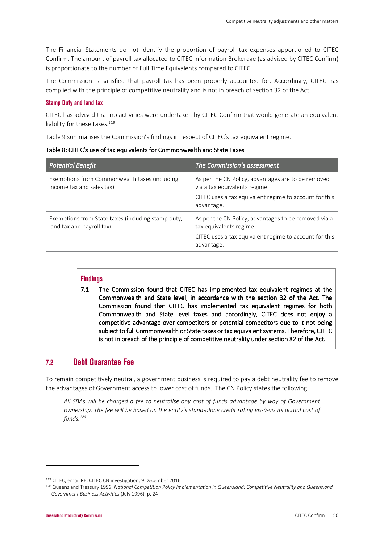The Financial Statements do not identify the proportion of payroll tax expenses apportioned to CITEC Confirm. The amount of payroll tax allocated to CITEC Information Brokerage (as advised by CITEC Confirm) is proportionate to the number of Full Time Equivalents compared to CITEC.

The Commission is satisfied that payroll tax has been properly accounted for. Accordingly, CITEC has complied with the principle of competitive neutrality and is not in breach of section 32 of the Act.

#### **Stamp Duty and land tax**

CITEC has advised that no activities were undertaken by CITEC Confirm that would generate an equivalent liability for these taxes.<sup>119</sup>

Table 9 summarises the Commission's findings in respect of CITEC's tax equivalent regime.

Table 8: CITEC's use of tax equivalents for Commonwealth and State Taxes

| <b>Potential Benefit</b>                                                        | The Commission's assessment                                                                                                                                 |
|---------------------------------------------------------------------------------|-------------------------------------------------------------------------------------------------------------------------------------------------------------|
| Exemptions from Commonwealth taxes (including<br>income tax and sales tax)      | As per the CN Policy, advantages are to be removed<br>via a tax equivalents regime.<br>CITEC uses a tax equivalent regime to account for this<br>advantage. |
| Exemptions from State taxes (including stamp duty,<br>land tax and payroll tax) | As per the CN Policy, advantages to be removed via a<br>tax equivalents regime.<br>CITEC uses a tax equivalent regime to account for this<br>advantage.     |

### **Findings**

7.1 The Commission found that CITEC has implemented tax equivalent regimes at the Commonwealth and State level, in accordance with the section 32 of the Act. The Commission found that CITEC has implemented tax equivalent regimes for both Commonwealth and State level taxes and accordingly, CITEC does not enjoy a competitive advantage over competitors or potential competitors due to it not being subject to full Commonwealth or State taxes or tax equivalent systems. Therefore, CITEC is not in breach of the principle of competitive neutrality under section 32 of the Act.

## **7.2 Debt Guarantee Fee**

To remain competitively neutral, a government business is required to pay a debt neutrality fee to remove the advantages of Government access to lower cost of funds. The CN Policy states the following:

*All SBAs will be charged a fee to neutralise any cost of funds advantage by way of Government ownership. The fee will be based on the entity's stand-alone credit rating vis-à-vis its actual cost of funds.<sup>120</sup>*

<sup>119</sup> CITEC, email RE: CITEC CN investigation, 9 December 2016

<sup>120</sup> Queensland Treasury 1996, *National Competition Policy Implementation in Queensland: Competitive Neutrality and Queensland Government Business Activities* (July 1996), p. 24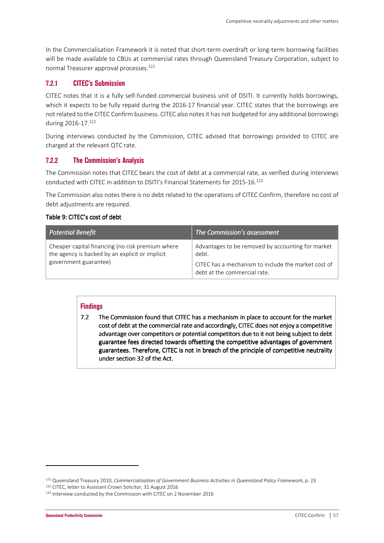In the Commercialisation Framework it is noted that short-term overdraft or long-term borrowing facilities will be made available to CBUs at commercial rates through Queensland Treasury Corporation, subject to normal Treasurer approval processes.<sup>121</sup>

### **7.2.1 CITEC's Submission**

CITEC notes that it is a fully self-funded commercial business unit of DSITI. It currently holds borrowings, which it expects to be fully repaid during the 2016-17 financial year. CITEC states that the borrowings are not related to the CITEC Confirm business. CITEC also notes it has not budgeted for any additional borrowings during 2016-17.<sup>122</sup>

During interviews conducted by the Commission, CITEC advised that borrowings provided to CITEC are charged at the relevant QTC rate.

### **7.2.2 The Commission's Analysis**

The Commission notes that CITEC bears the cost of debt at a commercial rate, as verified during interviews conducted with CITEC in addition to DSITI's Financial Statements for 2015-16.<sup>123</sup>

The Commission also notes there is no debt related to the operations of CITEC Confirm, therefore no cost of debt adjustments are required.

#### Table 9: CITEC's cost of debt

| Potential Benefit                                                                                                            | The Commission's assessment                                                                                                                       |
|------------------------------------------------------------------------------------------------------------------------------|---------------------------------------------------------------------------------------------------------------------------------------------------|
| Cheaper capital financing (no risk premium where<br>the agency is backed by an explicit or implicit<br>government guarantee) | Advantages to be removed by accounting for market<br>debt.<br>CITEC has a mechanism to include the market cost of<br>debt at the commercial rate. |

### **Findings**

7.2 The Commission found that CITEC has a mechanism in place to account for the market cost of debt at the commercial rate and accordingly, CITEC does not enjoy a competitive advantage over competitors or potential competitors due to it not being subject to debt guarantee fees directed towards offsetting the competitive advantages of government guarantees. Therefore, CITEC is not in breach of the principle of competitive neutrality under section  $32$  of the Act.

<sup>121</sup> Queensland Treasury 2010, *Commercialisation of Government Business Activities in Queensland Policy Framework*, p. 23 <sup>122</sup> CITEC, letter to Assistant Crown Solicitor, 31 August 2016

<sup>&</sup>lt;sup>123</sup> Interview conducted by the Commission with CITEC on 2 November 2016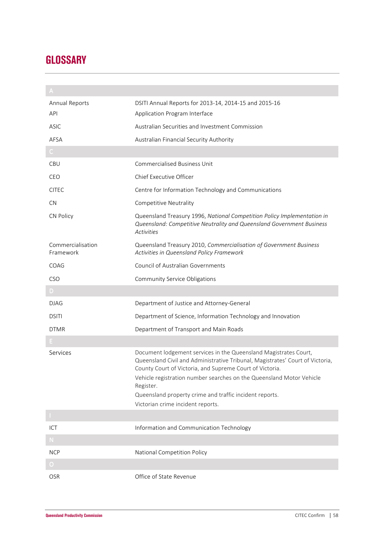# **GLOSSARY**

| Annual Reports                       | DSITI Annual Reports for 2013-14, 2014-15 and 2015-16                                                                                                                                                                                                                                                                                                                                              |
|--------------------------------------|----------------------------------------------------------------------------------------------------------------------------------------------------------------------------------------------------------------------------------------------------------------------------------------------------------------------------------------------------------------------------------------------------|
| API                                  | Application Program Interface                                                                                                                                                                                                                                                                                                                                                                      |
| ASIC                                 | Australian Securities and Investment Commission                                                                                                                                                                                                                                                                                                                                                    |
| AFSA                                 | Australian Financial Security Authority                                                                                                                                                                                                                                                                                                                                                            |
| $\mathsf{C}^{\scriptscriptstyle{+}}$ |                                                                                                                                                                                                                                                                                                                                                                                                    |
| CBU                                  | <b>Commercialised Business Unit</b>                                                                                                                                                                                                                                                                                                                                                                |
| CEO                                  | Chief Executive Officer                                                                                                                                                                                                                                                                                                                                                                            |
| <b>CITEC</b>                         | Centre for Information Technology and Communications                                                                                                                                                                                                                                                                                                                                               |
| <b>CN</b>                            | Competitive Neutrality                                                                                                                                                                                                                                                                                                                                                                             |
| CN Policy                            | Queensland Treasury 1996, National Competition Policy Implementation in<br>Queensland: Competitive Neutrality and Queensland Government Business<br><b>Activities</b>                                                                                                                                                                                                                              |
| Commercialisation<br>Framework       | Queensland Treasury 2010, Commercialisation of Government Business<br>Activities in Queensland Policy Framework                                                                                                                                                                                                                                                                                    |
| COAG                                 | Council of Australian Governments                                                                                                                                                                                                                                                                                                                                                                  |
| CSO                                  | Community Service Obligations                                                                                                                                                                                                                                                                                                                                                                      |
| D.                                   |                                                                                                                                                                                                                                                                                                                                                                                                    |
| <b>DJAG</b>                          | Department of Justice and Attorney-General                                                                                                                                                                                                                                                                                                                                                         |
| <b>DSITI</b>                         | Department of Science, Information Technology and Innovation                                                                                                                                                                                                                                                                                                                                       |
|                                      |                                                                                                                                                                                                                                                                                                                                                                                                    |
| <b>DTMR</b>                          | Department of Transport and Main Roads                                                                                                                                                                                                                                                                                                                                                             |
|                                      |                                                                                                                                                                                                                                                                                                                                                                                                    |
| Services                             | Document lodgement services in the Queensland Magistrates Court,<br>Queensland Civil and Administrative Tribunal, Magistrates' Court of Victoria,<br>County Court of Victoria, and Supreme Court of Victoria.<br>Vehicle registration number searches on the Queensland Motor Vehicle<br>Register.<br>Queensland property crime and traffic incident reports.<br>Victorian crime incident reports. |
|                                      |                                                                                                                                                                                                                                                                                                                                                                                                    |
| ICT                                  | Information and Communication Technology                                                                                                                                                                                                                                                                                                                                                           |
| ${\sf N}$ .                          |                                                                                                                                                                                                                                                                                                                                                                                                    |
| <b>NCP</b>                           | National Competition Policy                                                                                                                                                                                                                                                                                                                                                                        |
| $\overline{O}$                       |                                                                                                                                                                                                                                                                                                                                                                                                    |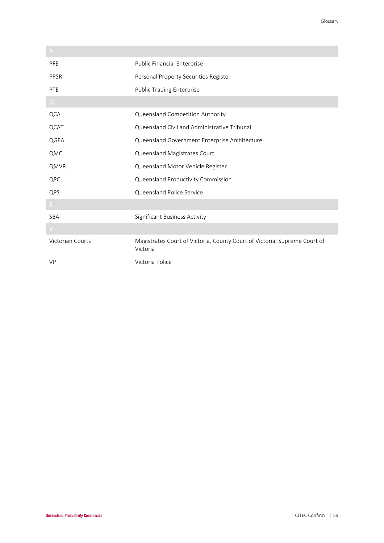| PFE                     | Public Financial Enterprise                                                           |
|-------------------------|---------------------------------------------------------------------------------------|
| <b>PPSR</b>             | Personal Property Securities Register                                                 |
| PTE                     | <b>Public Trading Enterprise</b>                                                      |
| $Q_{\parallel}$         |                                                                                       |
| <b>QCA</b>              | Queensland Competition Authority                                                      |
| QCAT                    | Queensland Civil and Administrative Tribunal                                          |
| QGEA                    | Queensland Government Enterprise Architecture                                         |
| QMC                     | Queensland Magistrates Court                                                          |
| QMVR                    | Queensland Motor Vehicle Register                                                     |
| QPC                     | Queensland Productivity Commission                                                    |
| QPS                     | Queensland Police Service                                                             |
| S.                      |                                                                                       |
| <b>SBA</b>              | <b>Significant Business Activity</b>                                                  |
| $\vee$                  |                                                                                       |
| <b>Victorian Courts</b> | Magistrates Court of Victoria, County Court of Victoria, Supreme Court of<br>Victoria |
| <b>VP</b>               | Victoria Police                                                                       |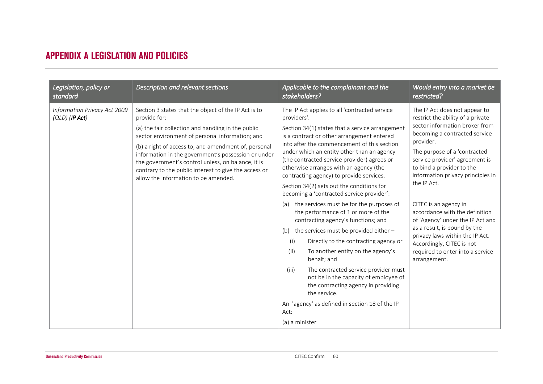# **APPENDIX A LEGISLATION AND POLICIES**

| Legislation, policy or                           | Description and relevant sections                                                                                                                                                                                                                                                                                                                                                                                                                   | Applicable to the complainant and the                                                                                                                                                                                                                                                                                                                                                                                                                                                                                                                                                                                                                                                                                                                                                                                                                                                                                                                                                                               | Would entry into a market be                                                                                                                                                                                                                                                                                                                                                                                                                                                                                                                             |
|--------------------------------------------------|-----------------------------------------------------------------------------------------------------------------------------------------------------------------------------------------------------------------------------------------------------------------------------------------------------------------------------------------------------------------------------------------------------------------------------------------------------|---------------------------------------------------------------------------------------------------------------------------------------------------------------------------------------------------------------------------------------------------------------------------------------------------------------------------------------------------------------------------------------------------------------------------------------------------------------------------------------------------------------------------------------------------------------------------------------------------------------------------------------------------------------------------------------------------------------------------------------------------------------------------------------------------------------------------------------------------------------------------------------------------------------------------------------------------------------------------------------------------------------------|----------------------------------------------------------------------------------------------------------------------------------------------------------------------------------------------------------------------------------------------------------------------------------------------------------------------------------------------------------------------------------------------------------------------------------------------------------------------------------------------------------------------------------------------------------|
| standard                                         |                                                                                                                                                                                                                                                                                                                                                                                                                                                     | stakeholders?                                                                                                                                                                                                                                                                                                                                                                                                                                                                                                                                                                                                                                                                                                                                                                                                                                                                                                                                                                                                       | restricted?                                                                                                                                                                                                                                                                                                                                                                                                                                                                                                                                              |
| Information Privacy Act 2009<br>$(QLD)$ (IP Act) | Section 3 states that the object of the IP Act is to<br>provide for:<br>(a) the fair collection and handling in the public<br>sector environment of personal information; and<br>(b) a right of access to, and amendment of, personal<br>information in the government's possession or under<br>the government's control unless, on balance, it is<br>contrary to the public interest to give the access or<br>allow the information to be amended. | The IP Act applies to all 'contracted service<br>providers'.<br>Section 34(1) states that a service arrangement<br>is a contract or other arrangement entered<br>into after the commencement of this section<br>under which an entity other than an agency<br>(the contracted service provider) agrees or<br>otherwise arranges with an agency (the<br>contracting agency) to provide services.<br>Section 34(2) sets out the conditions for<br>becoming a 'contracted service provider':<br>the services must be for the purposes of<br>(a)<br>the performance of 1 or more of the<br>contracting agency's functions; and<br>(b) the services must be provided either $-$<br>(i)<br>Directly to the contracting agency or<br>To another entity on the agency's<br>(ii)<br>behalf; and<br>The contracted service provider must<br>(iii)<br>not be in the capacity of employee of<br>the contracting agency in providing<br>the service.<br>An 'agency' as defined in section 18 of the IP<br>Act:<br>(a) a minister | The IP Act does not appear to<br>restrict the ability of a private<br>sector information broker from<br>becoming a contracted service<br>provider.<br>The purpose of a 'contracted<br>service provider' agreement is<br>to bind a provider to the<br>information privacy principles in<br>the IP Act.<br>CITEC is an agency in<br>accordance with the definition<br>of 'Agency' under the IP Act and<br>as a result, is bound by the<br>privacy laws within the IP Act.<br>Accordingly, CITEC is not<br>required to enter into a service<br>arrangement. |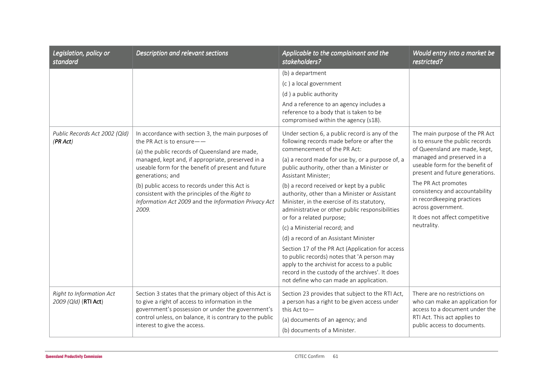| Legislation, policy or<br>standard               | Description and relevant sections                                                                                                                                                                                                                           | Applicable to the complainant and the<br>stakeholders?                                                                                                                                                                                         | Would entry into a market be<br>restricted?                                                                                                                                                                                                                                                                                                                          |
|--------------------------------------------------|-------------------------------------------------------------------------------------------------------------------------------------------------------------------------------------------------------------------------------------------------------------|------------------------------------------------------------------------------------------------------------------------------------------------------------------------------------------------------------------------------------------------|----------------------------------------------------------------------------------------------------------------------------------------------------------------------------------------------------------------------------------------------------------------------------------------------------------------------------------------------------------------------|
|                                                  |                                                                                                                                                                                                                                                             | (b) a department                                                                                                                                                                                                                               |                                                                                                                                                                                                                                                                                                                                                                      |
|                                                  |                                                                                                                                                                                                                                                             | (c) a local government                                                                                                                                                                                                                         |                                                                                                                                                                                                                                                                                                                                                                      |
|                                                  |                                                                                                                                                                                                                                                             | (d) a public authority                                                                                                                                                                                                                         |                                                                                                                                                                                                                                                                                                                                                                      |
|                                                  |                                                                                                                                                                                                                                                             | And a reference to an agency includes a<br>reference to a body that is taken to be<br>compromised within the agency (s18).                                                                                                                     |                                                                                                                                                                                                                                                                                                                                                                      |
| Public Records Act 2002 (Qld)<br>(PR Act)        | In accordance with section 3, the main purposes of<br>the PR Act is to ensure $ -$                                                                                                                                                                          | Under section 6, a public record is any of the<br>following records made before or after the<br>commencement of the PR Act:                                                                                                                    | The main purpose of the PR Act<br>is to ensure the public records<br>of Queensland are made, kept,<br>managed and preserved in a<br>useable form for the benefit of<br>present and future generations.<br>The PR Act promotes<br>consistency and accountability<br>in recordkeeping practices<br>across government.<br>It does not affect competitive<br>neutrality. |
|                                                  | (a) the public records of Queensland are made,<br>managed, kept and, if appropriate, preserved in a<br>useable form for the benefit of present and future<br>generations; and                                                                               | (a) a record made for use by, or a purpose of, a<br>public authority, other than a Minister or<br>Assistant Minister;                                                                                                                          |                                                                                                                                                                                                                                                                                                                                                                      |
|                                                  | (b) public access to records under this Act is<br>consistent with the principles of the Right to<br>Information Act 2009 and the Information Privacy Act<br>2009.                                                                                           | (b) a record received or kept by a public<br>authority, other than a Minister or Assistant<br>Minister, in the exercise of its statutory,<br>administrative or other public responsibilities                                                   |                                                                                                                                                                                                                                                                                                                                                                      |
|                                                  |                                                                                                                                                                                                                                                             | or for a related purpose;<br>(c) a Ministerial record; and                                                                                                                                                                                     |                                                                                                                                                                                                                                                                                                                                                                      |
|                                                  |                                                                                                                                                                                                                                                             | (d) a record of an Assistant Minister                                                                                                                                                                                                          |                                                                                                                                                                                                                                                                                                                                                                      |
|                                                  |                                                                                                                                                                                                                                                             | Section 17 of the PR Act (Application for access<br>to public records) notes that 'A person may<br>apply to the archivist for access to a public<br>record in the custody of the archives'. It does<br>not define who can made an application. |                                                                                                                                                                                                                                                                                                                                                                      |
| Right to Information Act<br>2009 (Qld) (RTI Act) | Section 3 states that the primary object of this Act is<br>to give a right of access to information in the<br>government's possession or under the government's<br>control unless, on balance, it is contrary to the public<br>interest to give the access. | Section 23 provides that subject to the RTI Act,<br>a person has a right to be given access under<br>this Act to-                                                                                                                              | There are no restrictions on<br>who can make an application for<br>access to a document under the<br>RTI Act. This act applies to<br>public access to documents.                                                                                                                                                                                                     |
|                                                  |                                                                                                                                                                                                                                                             | (a) documents of an agency; and<br>(b) documents of a Minister.                                                                                                                                                                                |                                                                                                                                                                                                                                                                                                                                                                      |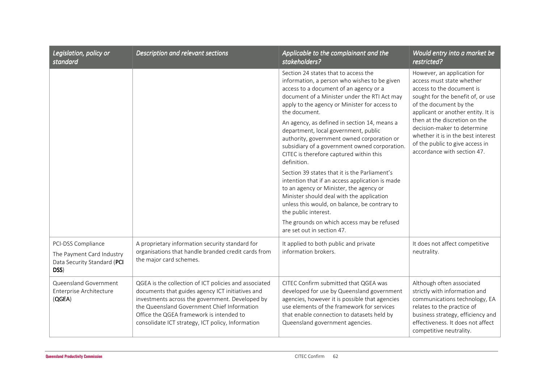| Legislation, policy or<br>standard                                                     | Description and relevant sections                                                                                                                                                                                                                                                                            | Applicable to the complainant and the<br>stakeholders?                                                                                                                                                                                                                                                                                                                                                                                                                                                                                                                                                                                                                                                                                                                                                                                             | Would entry into a market be<br>restricted?                                                                                                                                                                                                                                                                                                                        |
|----------------------------------------------------------------------------------------|--------------------------------------------------------------------------------------------------------------------------------------------------------------------------------------------------------------------------------------------------------------------------------------------------------------|----------------------------------------------------------------------------------------------------------------------------------------------------------------------------------------------------------------------------------------------------------------------------------------------------------------------------------------------------------------------------------------------------------------------------------------------------------------------------------------------------------------------------------------------------------------------------------------------------------------------------------------------------------------------------------------------------------------------------------------------------------------------------------------------------------------------------------------------------|--------------------------------------------------------------------------------------------------------------------------------------------------------------------------------------------------------------------------------------------------------------------------------------------------------------------------------------------------------------------|
|                                                                                        |                                                                                                                                                                                                                                                                                                              | Section 24 states that to access the<br>information, a person who wishes to be given<br>access to a document of an agency or a<br>document of a Minister under the RTI Act may<br>apply to the agency or Minister for access to<br>the document.<br>An agency, as defined in section 14, means a<br>department, local government, public<br>authority, government owned corporation or<br>subsidiary of a government owned corporation.<br>CITEC is therefore captured within this<br>definition.<br>Section 39 states that it is the Parliament's<br>intention that if an access application is made<br>to an agency or Minister, the agency or<br>Minister should deal with the application<br>unless this would, on balance, be contrary to<br>the public interest.<br>The grounds on which access may be refused<br>are set out in section 47. | However, an application for<br>access must state whether<br>access to the document is<br>sought for the benefit of, or use<br>of the document by the<br>applicant or another entity. It is<br>then at the discretion on the<br>decision-maker to determine<br>whether it is in the best interest<br>of the public to give access in<br>accordance with section 47. |
| PCI-DSS Compliance<br>The Payment Card Industry<br>Data Security Standard (PCI<br>DSS) | A proprietary information security standard for<br>organisations that handle branded credit cards from<br>the major card schemes.                                                                                                                                                                            | It applied to both public and private<br>information brokers.                                                                                                                                                                                                                                                                                                                                                                                                                                                                                                                                                                                                                                                                                                                                                                                      | It does not affect competitive<br>neutrality.                                                                                                                                                                                                                                                                                                                      |
| Queensland Government<br>Enterprise Architecture<br>(QGEA)                             | QGEA is the collection of ICT policies and associated<br>documents that guides agency ICT initiatives and<br>investments across the government. Developed by<br>the Queensland Government Chief Information<br>Office the QGEA framework is intended to<br>consolidate ICT strategy, ICT policy, Information | CITEC Confirm submitted that QGEA was<br>developed for use by Queensland government<br>agencies, however it is possible that agencies<br>use elements of the framework for services<br>that enable connection to datasets held by<br>Queensland government agencies.                                                                                                                                                                                                                                                                                                                                                                                                                                                                                                                                                                               | Although often associated<br>strictly with information and<br>communications technology, EA<br>relates to the practice of<br>business strategy, efficiency and<br>effectiveness. It does not affect<br>competitive neutrality.                                                                                                                                     |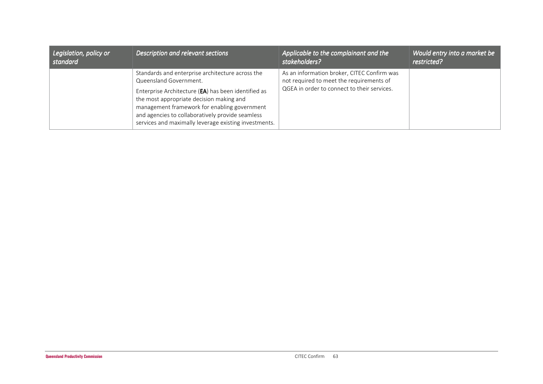| Legislation, policy or | Description and relevant sections                                                                                                                                                                                                                                                                                                          | Applicable to the complainant and the                                                                                                  | Would entry into a market be |
|------------------------|--------------------------------------------------------------------------------------------------------------------------------------------------------------------------------------------------------------------------------------------------------------------------------------------------------------------------------------------|----------------------------------------------------------------------------------------------------------------------------------------|------------------------------|
| standard               |                                                                                                                                                                                                                                                                                                                                            | stakeholders?                                                                                                                          | restricted?                  |
|                        | Standards and enterprise architecture across the<br>Queensland Government.<br>Enterprise Architecture (EA) has been identified as<br>the most appropriate decision making and<br>management framework for enabling government<br>and agencies to collaboratively provide seamless<br>services and maximally leverage existing investments. | As an information broker, CITEC Confirm was<br>not required to meet the requirements of<br>QGEA in order to connect to their services. |                              |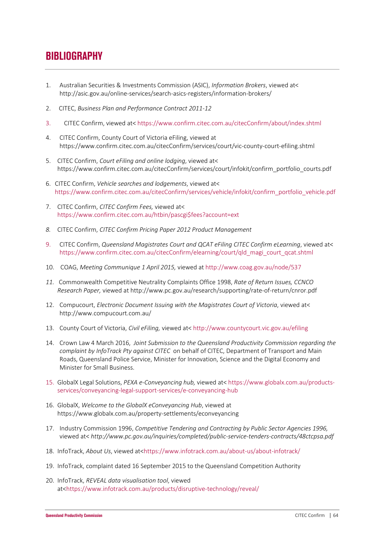# **BIBLIOGRAPHY**

- 1. Australian Securities & Investments Commission (ASIC), *Information Brokers*, viewed at< http://asic.gov.au/online-services/search-asics-registers/information-brokers/
- 2. CITEC, *Business Plan and Performance Contract 2011-12*
- 3. CITEC Confirm, viewed at< https://www.confirm.citec.com.au/citecConfirm/about/index.shtml
- 4. CITEC Confirm, County Court of Victoria eFiling, viewed at https://www.confirm.citec.com.au/citecConfirm/services/court/vic-county-court-efiling.shtml
- 5. CITEC Confirm, *Court eFiling and online lodging*, viewed at< https://www.confirm.citec.com.au/citecConfirm/services/court/infokit/confirm\_portfolio\_courts.pdf
- 6. CITEC Confirm, *Vehicle searches and lodgements*, viewed at< https://www.confirm.citec.com.au/citecConfirm/services/vehicle/infokit/confirm\_portfolio\_vehicle.pdf
- 7. CITEC Confirm, *CITEC Confirm Fees,* viewed at< https://www.confirm.citec.com.au/htbin/pascgi\$fees?account=ext
- *8.* CITEC Confirm, *CITEC Confirm Pricing Paper 2012 Product Management*
- 9. CITEC Confirm, *Queensland Magistrates Court and QCAT eFiling CITEC Confirm eLearning*, viewed at< https://www.confirm.citec.com.au/citecConfirm/elearning/court/qld\_magi\_court\_qcat.shtml
- 10. COAG, *Meeting Communique 1 April 2015,* viewed at http://www.coag.gov.au/node/537
- *11.* Commonwealth Competitive Neutrality Complaints Office 1998, *Rate of Return Issues, CCNCO Research Paper,* viewed at http://www.pc.gov.au/research/supporting/rate-of-return/cnror.pdf
- 12. Compucourt, *Electronic Document Issuing with the Magistrates Court of Victoria*, viewed at< http://www.compucourt.com.au/
- 13. County Court of Victoria, *Civil eFiling,* viewed at< http://www.countycourt.vic.gov.au/efiling
- 14. Crown Law 4 March 2016, *Joint Submission to the Queensland Productivity Commission regarding the complaint by InfoTrack Pty against CITEC* on behalf of CITEC, Department of Transport and Main Roads, Queensland Police Service, Minister for Innovation, Science and the Digital Economy and Minister for Small Business.
- 15. GlobalX Legal Solutions, *PEXA e-Conveyancing hub,* viewed at< https://www.globalx.com.au/productsservices/conveyancing-legal-support-services/e-conveyancing-hub
- 16. GlobalX, *Welcome to the GlobalX eConveyancing Hub*, viewed at https://www.globalx.com.au/property-settlements/econveyancing
- 17. Industry Commission 1996, *Competitive Tendering and Contracting by Public Sector Agencies 1996,*  viewed at< *http://www.pc.gov.au/inquiries/completed/public-service-tenders-contracts/48ctcpsa.pdf*
- 18. InfoTrack, *About Us*, viewed at<https://www.infotrack.com.au/about-us/about-infotrack/
- 19. InfoTrack, complaint dated 16 September 2015 to the Queensland Competition Authority
- 20. InfoTrack, *REVEAL data visualisation tool*, viewed at<https://www.infotrack.com.au/products/disruptive-technology/reveal/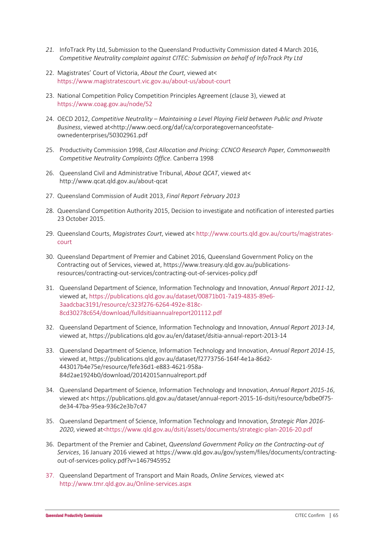- *21.* InfoTrack Pty Ltd, Submission to the Queensland Productivity Commission dated 4 March 2016, *Competitive Neutrality complaint against CITEC: Submission on behalf of InfoTrack Pty Ltd*
- 22. Magistrates' Court of Victoria, *About the Court*, viewed at< https://www.magistratescourt.vic.gov.au/about-us/about-court
- 23. National Competition Policy Competition Principles Agreement (clause 3), viewed at https://www.coag.gov.au/node/52
- 24. OECD 2012, *Competitive Neutrality Maintaining a Level Playing Field between Public and Private Business*, viewed at<http://www.oecd.org/daf/ca/corporategovernanceofstateownedenterprises/50302961.pdf
- 25. Productivity Commission 1998, *Cost Allocation and Pricing: CCNCO Research Paper, Commonwealth Competitive Neutrality Complaints Office*. Canberra 1998
- 26. Queensland Civil and Administrative Tribunal, *About QCAT*, viewed at< http://www.qcat.qld.gov.au/about-qcat
- 27. Queensland Commission of Audit 2013, *Final Report February 2013*
- 28. Queensland Competition Authority 2015, Decision to investigate and notification of interested parties 23 October 2015.
- 29. Queensland Courts, *Magistrates Court*, viewed at< http://www.courts.qld.gov.au/courts/magistratescourt
- 30. Queensland Department of Premier and Cabinet 2016, Queensland Government Policy on the Contracting out of Services, viewed at, https://www.treasury.qld.gov.au/publicationsresources/contracting-out-services/contracting-out-of-services-policy.pdf
- 31. Queensland Department of Science, Information Technology and Innovation, *Annual Report 2011-12*, viewed at, https://publications.qld.gov.au/dataset/00871b01-7a19-4835-89e6- 3aadcbac3191/resource/c323f276-6264-492e-818c-8cd30278c654/download/fulldsitiaannualreport201112.pdf
- 32. Queensland Department of Science, Information Technology and Innovation, *Annual Report 2013-14*, viewed at, https://publications.qld.gov.au/en/dataset/dsitia-annual-report-2013-14
- 33. Queensland Department of Science, Information Technology and Innovation, *Annual Report 2014-15*, viewed at, https://publications.qld.gov.au/dataset/f2773756-164f-4e1a-86d2- 443017b4e75e/resource/fefe36d1-e883-4621-958a-84d2ae1924b0/download/20142015annualreport.pdf
- 34. Queensland Department of Science, Information Technology and Innovation, *Annual Report 2015-16*, viewed at< https://publications.qld.gov.au/dataset/annual-report-2015-16-dsiti/resource/bdbe0f75 de34-47ba-95ea-936c2e3b7c47
- 35. Queensland Department of Science, Information Technology and Innovation, *Strategic Plan 2016- 2020*, viewed at<https://www.qld.gov.au/dsiti/assets/documents/strategic-plan-2016-20.pdf
- 36. Department of the Premier and Cabinet, *Queensland Government Policy on the Contracting-out of Services*, 16 January 2016 viewed at https://www.qld.gov.au/gov/system/files/documents/contractingout-of-services-policy.pdf?v=1467945952
- 37. Queensland Department of Transport and Main Roads, *Online Services,* viewed at< http://www.tmr.qld.gov.au/Online-services.aspx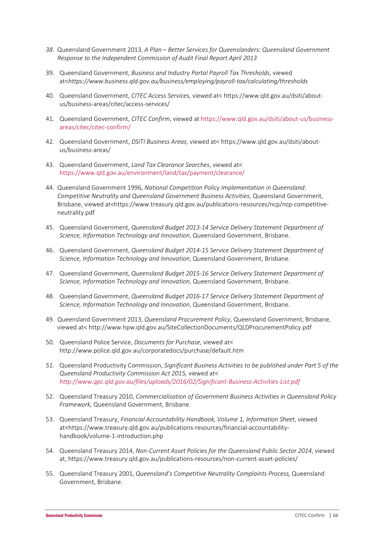- *38.* Queensland Government 2013, *A Plan Better Services for Queenslanders: Queensland Government Response to the Independent Commission of Audit Final Report April 2013*
- 39. Queensland Government, *Business and Industry Portal Payroll Tax Thresholds*, viewed at<*https://www.business.qld.gov.au/business/employing/payroll-tax/calculating/thresholds*
- 40. Queensland Government, *CITEC Access Services*, viewed at< https://www.qld.gov.au/dsiti/aboutus/business-areas/citec/access-services/
- 41. Queensland Government, *CITEC Confirm*, viewed at https://www.qld.gov.au/dsiti/about-us/businessareas/citec/citec-confirm/
- 42. Queensland Government, *DSITI Business Areas,* viewed at< https://www.qld.gov.au/dsiti/aboutus/business-areas/
- 43. Queensland Government, *Land Tax Clearance Searches*, viewed at< https://www.qld.gov.au/environment/land/tax/payment/clearance/
- 44. Queensland Government 1996, *National Competition Policy Implementation in Queensland: Competitive Neutrality and Queensland Government Business Activities*, Queensland Government, Brisbane, viewed at<https://www.treasury.qld.gov.au/publications-resources/ncp/ncp-competitiveneutrality.pdf
- 45. Queensland Government, *Queensland Budget 2013-14 Service Delivery Statement Department of Science, Information Technology and Innovation*, Queensland Government, Brisbane.
- 46. Queensland Government, *Queensland Budget 2014-15 Service Delivery Statement Department of Science, Information Technology and Innovation*, Queensland Government, Brisbane.
- 47. Queensland Government, *Queensland Budget 2015-16 Service Delivery Statement Department of Science, Information Technology and Innovation*, Queensland Government, Brisbane.
- 48. Queensland Government, *Queensland Budget 2016-17 Service Delivery Statement Department of Science, Information Technology and Innovation*, Queensland Government, Brisbane.
- 49. Queensland Government 2013, *Queensland Procurement Policy*, Queensland Government, Brisbane, viewed at< http://www.hpw.qld.gov.au/SiteCollectionDocuments/QLDProcurementPolicy.pdf
- 50. Queensland Police Service, *Documents for Purchase*, viewed at< http://www.police.qld.gov.au/corporatedocs/purchase/default.htm
- *51.* Queensland Productivity Commission, *Significant Business Activities to be published under Part 5 of the Queensland Productivity Commission Act 2015,* viewed at< *http://www.qpc.qld.gov.au/files/uploads/2016/02/Significant-Business-Activities-List.pdf*
- 52. Queensland Treasury 2010, *Commercialisation of Government Business Activities in Queensland Policy Framework,* Queensland Government, Brisbane.
- 53. Queensland Treasury, *Financial Accountability Handbook, Volume 1, Information Sheet*, viewed at<https://www.treasury.qld.gov.au/publications-resources/financial-accountabilityhandbook/volume-1-introduction.php
- 54. Queensland Treasury 2014, *Non-Current Asset Policies for the Queensland Public Sector 2014*, viewed at, https://www.treasury.qld.gov.au/publications-resources/non-current-asset-policies/
- 55. Queensland Treasury 2001, *Queensland's Competitive Neutrality Complaints Process,* Queensland Government, Brisbane.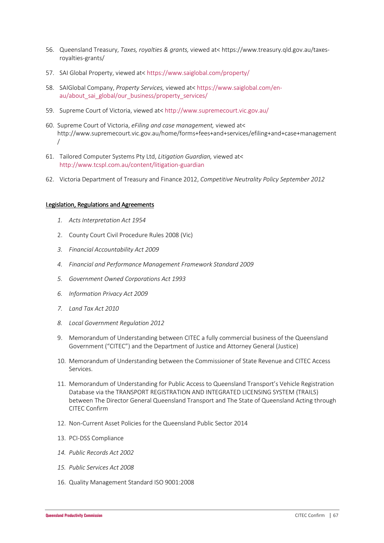- 56. Queensland Treasury, *Taxes, royalties & grants,* viewed at< https://www.treasury.qld.gov.au/taxesroyalties-grants/
- 57. SAI Global Property, viewed at< https://www.saiglobal.com/property/
- 58. SAIGlobal Company, *Property Services,* viewed at< https://www.saiglobal.com/enau/about\_sai\_global/our\_business/property\_services/
- 59. Supreme Court of Victoria, viewed at< http://www.supremecourt.vic.gov.au/
- 60. Supreme Court of Victoria, *eFiling and case management,* viewed at< http://www.supremecourt.vic.gov.au/home/forms+fees+and+services/efiling+and+case+management /
- 61. Tailored Computer Systems Pty Ltd, *Litigation Guardian,* viewed at< http://www.tcspl.com.au/content/litigation-guardian
- 62. Victoria Department of Treasury and Finance 2012, *Competitive Neutrality Policy September 2012*

#### Legislation, Regulations and Agreements

- *1. Acts Interpretation Act 1954*
- 2. County Court Civil Procedure Rules 2008 (Vic)
- *3. Financial Accountability Act 2009*
- *4. Financial and Performance Management Framework Standard 2009*
- *5. Government Owned Corporations Act 1993*
- *6. Information Privacy Act 2009*
- *7. Land Tax Act 2010*
- *8. Local Government Regulation 2012*
- 9. Memorandum of Understanding between CITEC a fully commercial business of the Queensland Government ("CITEC") and the Department of Justice and Attorney General (Justice)
- 10. Memorandum of Understanding between the Commissioner of State Revenue and CITEC Access Services.
- 11. Memorandum of Understanding for Public Access to Queensland Transport's Vehicle Registration Database via the TRANSPORT REGISTRATION AND INTEGRATED LICENSING SYSTEM (TRAILS) between The Director General Queensland Transport and The State of Queensland Acting through CITEC Confirm
- 12. Non-Current Asset Policies for the Queensland Public Sector 2014
- 13. PCI-DSS Compliance
- *14. Public Records Act 2002*
- *15. Public Services Act 2008*
- 16. Quality Management Standard ISO 9001:2008